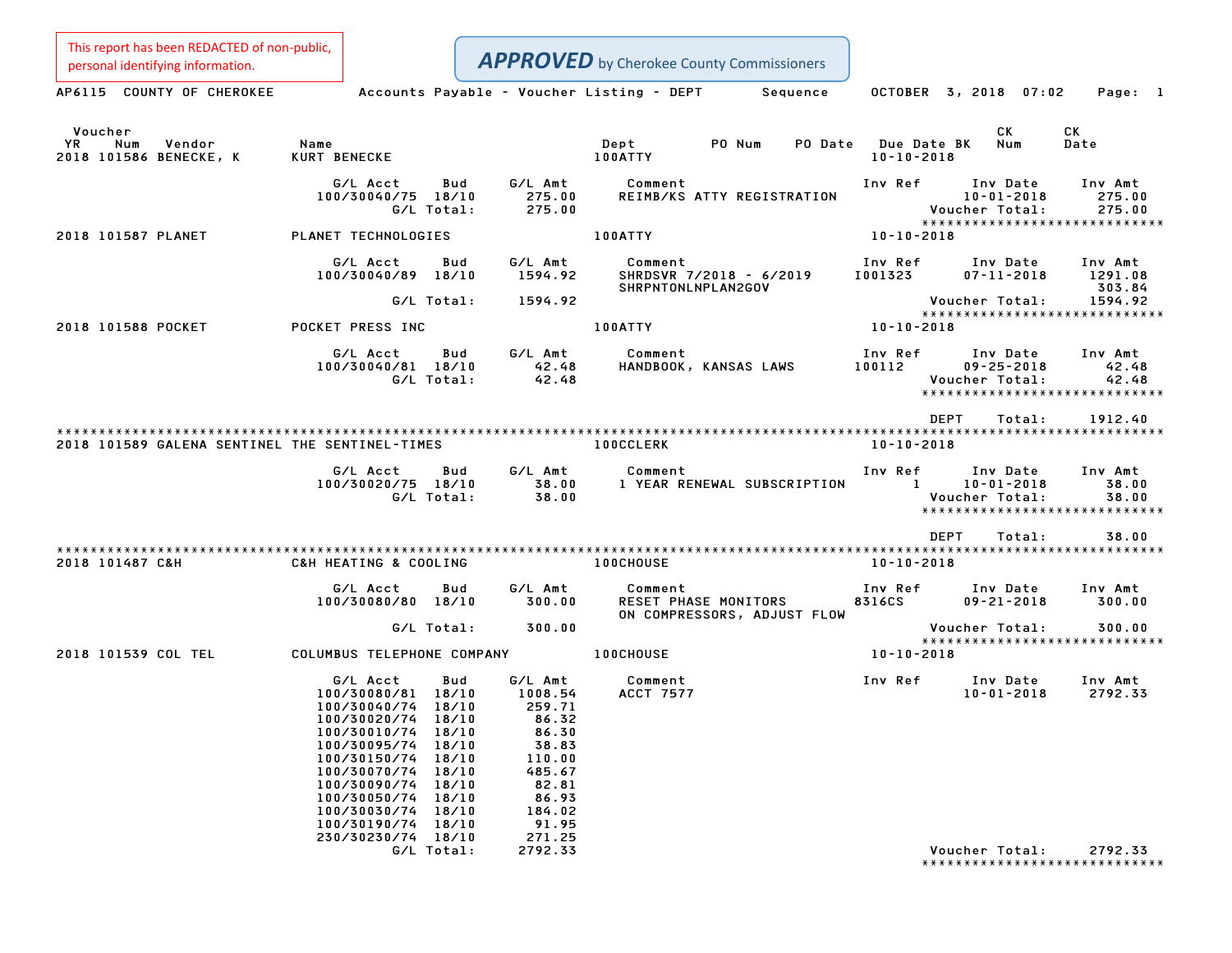This report has been REDACTED of non-public,

Personal identifying information.<br>
AP6115 COUNTY OF CHEROKEE Accounts Payable - Voucher Listing - DEPT Sequence OCTOBER 3, 2018 07:02 Page: 1 Voucher CK CK YR Num Vendor Name Dept PO Num PO Date Due Date BK Num Date Voucher<br>1991 - YR Num Vendor – Name – Name – Dept – PO-Num PO-Date Due-Date<br>2018 101586 BENECKE, K – KURT BENECKE – 100ATTY – 100ATTY – 10-10-2018 G/L Acct Bud G/L Amt Comment Inv Ref Inv Date Inv Amt 100/30040/75 18/10 275.00 REIMB/KS ATTY REGISTRATION 10-01-2018 275.00 G/L Total: 275.00 Voucher Total: 275.00 10-01-2018 275.00<br>
Voucher Total: 275.00<br>
\*\*\*\*\*\*\*\*\*\*\*\*\*\*\*\*\*\*\*\*\*\*\*\*\*\*\*\*\* <sup>2018</sup> <sup>101587</sup> PLANET PLANET TECHNOLOGIES 100ATTY 10-10-2018 G/L Acct Bud G/L Amt Comment Inv Ref Inv Date Inv Amt 100/30040/89 18/10 1594.92 SHRDSVR 7/2018 - 6/2019 I001323 07-11-2018 1291.08 SHRPNTONLNPLAN2GOV 303.84 G/L Total: 1594.92 Voucher Total: 1594.92 Voucher Total: 1594.92<br>\*\*\*\*\*\*\*\*\*\*\*\*\*\*\*\*\*\*\*\*\*\*\*\*\*\*\*\* <sup>2018</sup> <sup>101588</sup> POCKET POCKET PRESS INC 100ATTY 10-10-2018 G/L Acct Bud G/L Amt Comment Inv Ref Inv Date Inv Amt 100/30040/81 18/10 42.48 HANDBOOK, KANSAS LAWS <sup>100112</sup> 09-25-2018 42.48 G/L Total: 42.48 Voucher Total: 42.48 \*\*\*\*\*\*\*\*\*\*\*\*\*\*\*\*\*\*\*\*\*\*\*\*\*\*\*\*\* \*\*\*\*\*\*\*\*\*\*\*\*\*\*\*\*\*\*\*\*\*\*\*\*<br>DEPT Total: 1912.40 \*\*\*\*\*\*\*\*\*\*\*\*\*\*\*\*\*\*\*\*\*\*\*\*\*\*\*\*\*\*\*\*\*\*\*\*\*\*\*\*\*\*\*\*\*\*\*\*\*\*\*\*\*\*\*\*\*\*\*\*\*\*\*\*\*\*\*\*\*\*\*\*\*\*\*\*\*\*\*\*\*\*\*\*\*\*\*\*\*\*\*\*\*\*\*\*\*\*\*\*\*\*\*\*\*\*\*\*\*\*\*\*\*\*\*\*\*\*\*\*\*\*\*\*\*\*\*\*\*\*\*\* <sup>2018</sup> <sup>101589</sup> GALENA SENTINEL THE SENTINEL-TIMES 100CCLERK 10-10-2018 G/L Acct Bud G/L Amt Comment Inv Ref Inv Date Inv Amt 100/30020/75 18/10 38.00 <sup>1</sup> YEAR RENEWAL SUBSCRIPTION <sup>1</sup> 10-01-2018 38.00 G/L Acct Bud G/L Amt Comment Inv Ref Inv Date Inv Amt<br>100/30020/75 18/10 38.00 1 YEAR RENEWAL SUBSCRIPTION 1 10–01–2018 38.00<br>G/L Total: 38.00 58.00 \*\*\*\*\*\*\*\*\*\*\*\*\*\*\*\*\*\*\*\*\*\*\*\*\*\*\*\*\* DEPT Total: 38.00 \*\*\*\*\*\*\*\*\*\*\*\*\*\*\*\*\*\*\*\*\*\*\*\*\*\*\*\*\*\*\*\*\*\*\*\*\*\*\*\*\*\*\*\*\*\*\*\*\*\*\*\*\*\*\*\*\*\*\*\*\*\*\*\*\*\*\*\*\*\*\*\*\*\*\*\*\*\*\*\*\*\*\*\*\*\*\*\*\*\*\*\*\*\*\*\*\*\*\*\*\*\*\*\*\*\*\*\*\*\*\*\*\*\*\*\*\*\*\*\*\*\*\*\*\*\*\*\*\*\*\*\* <sup>2018</sup> <sup>101487</sup> C&H C&H HEATING & COOLING 100CHOUSE 10-10-2018 G/L Acct Bud G/L Amt Comment Inv Ref Inv Date Inv Amt 100/10080/80 1009/00080/80 10080/6/10080/6/10080/6/10080/6/10 10080/6/10 Amt<br>100/30080/80 18/10 100.00 RESET PHASE MONITORS 8316CS 09-21-2018 300.00 Comment<br>RESET PHASE MONITORS<br>ON COMPRESSORS, ADJUST FLOW G/L Total: 300.00 Voucher Total: 300.00 Voucher Total: 300.00<br>\*\*\*\*\*\*\*\*\*\*\*\*\*\*\*\*\*\*\*\*\*\*\*\*\*\*\*\* <sup>2018</sup> <sup>101539</sup> COL TEL COLUMBUS TELEPHONE COMPANY 100CHOUSE 10-10-2018 G/L Acct Bud G/L Amt Comment Inv Ref Inv Date Inv Amt 100/30080/81 18/10 1008.54 ACCT <sup>7577</sup> 10-01-2018 2792.33 6/L Acct Bud G/L Amt<br>100/30080/81 18/10 1008.54<br>100/30040/74 18/10 259.71 100/30020/74 18/10 86.32 100/30010/74 18/10 86.30 100/30095/74 18/10 38.83 100/30010/74 18/10 86.30<br>100/30095/74 18/10 38.83<br>100/30150/74 18/10 110.00 100/30070/74 18/10 485.67 100/30090/74 18/10 82.81 100/30070/74 18/10 485.67<br>100/30090/74 18/10 82.81<br>100/30050/74 18/10 86.93 100/30030/74 18/10 184.02 100/30030/74 18/10 184.02<br>100/30190/74 18/10 91.95 230/30230/74 18/10 271.25 G/L Total: 2792.33 Voucher Total: 2792.33

Voucher Total: 2792.33<br>\*\*\*\*\*\*\*\*\*\*\*\*\*\*\*\*\*\*\*\*\*\*\*\*\*\*\*\*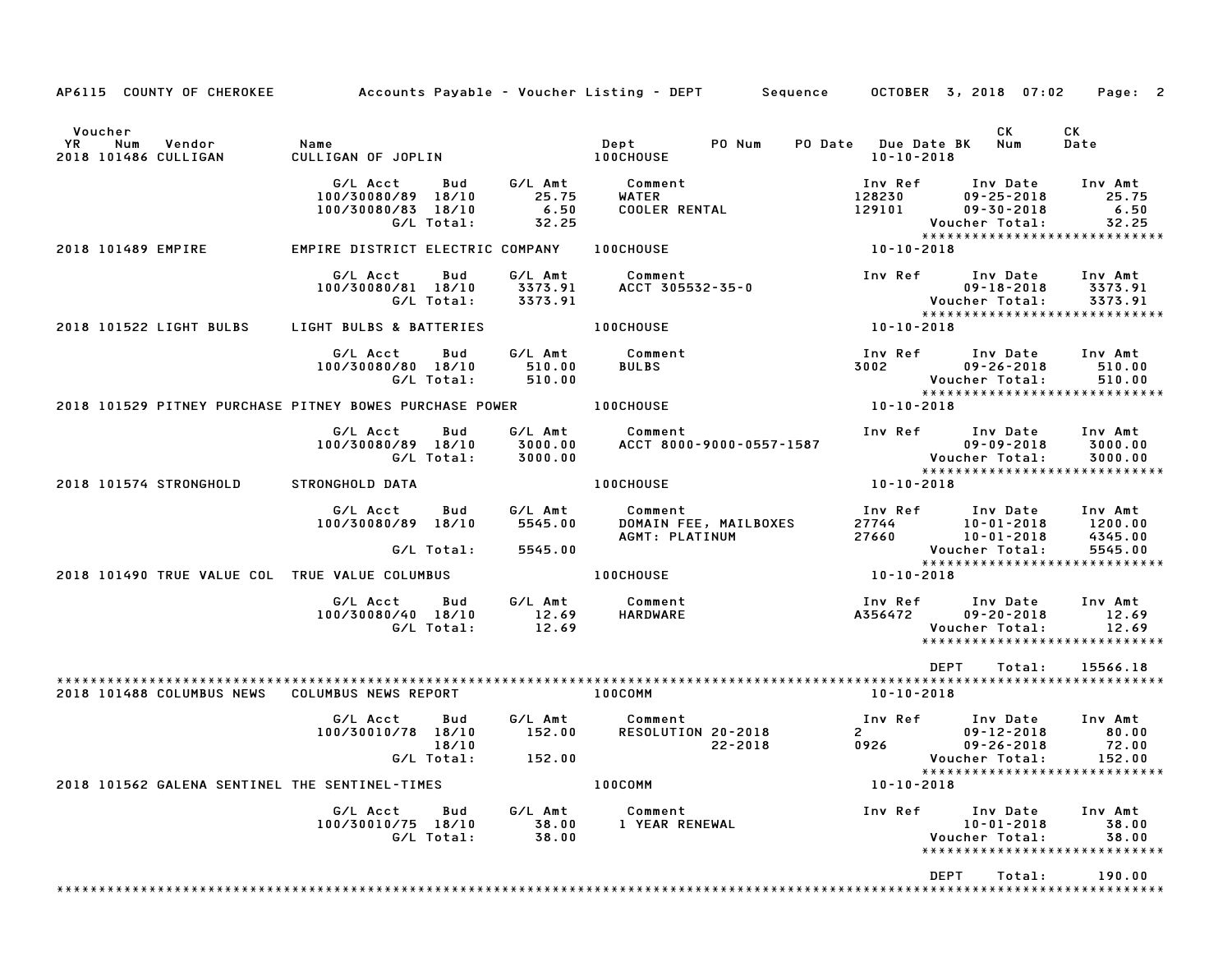| AP6115 COUNTY OF CHEROKEE                               | Accounts Payable – Voucher Listing – DEPT Sequence   |                            |                                   |                                       |                          |                                                                                                                                                                                                                                                                                                                                                       | OCTOBER 3, 2018 07:02                                                                                          | Page: 2                                  |
|---------------------------------------------------------|------------------------------------------------------|----------------------------|-----------------------------------|---------------------------------------|--------------------------|-------------------------------------------------------------------------------------------------------------------------------------------------------------------------------------------------------------------------------------------------------------------------------------------------------------------------------------------------------|----------------------------------------------------------------------------------------------------------------|------------------------------------------|
| Voucher<br>YR<br>Num<br>Vendor<br>2018 101486 CULLIGAN  | Name<br>name<br>CULLIGAN OF JOPLIN                   |                            |                                   | Dept<br><b>100CHOUSE</b>              | PO Num                   | PO Date Due Date BK Num<br>10-10-2018                                                                                                                                                                                                                                                                                                                 | CK                                                                                                             | CK<br>Date                               |
|                                                         |                                                      |                            |                                   |                                       |                          |                                                                                                                                                                                                                                                                                                                                                       |                                                                                                                |                                          |
|                                                         | G/L Acct<br>100/30080/89 18/10<br>100/30080/83 18/10 | Bud<br>G/L Total:          | G/L Amt<br>25.75<br>6.50<br>32.25 | Comment<br>WATER                      | WATER<br>COOLER RENTAL   |                                                                                                                                                                                                                                                                                                                                                       | Inv Ref Inv Date<br>128230 09-25-2018<br>129101 09-30-2018<br>Voucher Total:<br>****************************** | Inv Amt<br>25.75<br>6.50<br>32.25        |
| 2018 101489 EMPIRE                                      | EMPIRE DISTRICT ELECTRIC COMPANY                     |                            |                                   | <b>100CHOUSE</b>                      |                          | $10 - 10 - 2018$                                                                                                                                                                                                                                                                                                                                      |                                                                                                                |                                          |
|                                                         | G/L Acct<br>100/30080/81 18/10                       | Bud<br>G/L Total:          | G/L Amt<br>3373.91<br>3373.91     | Comment<br>ACCT 305532-35-0           |                          |                                                                                                                                                                                                                                                                                                                                                       | Inv Ref Inv Date Inv Amt<br>$09 - 18 - 2018$<br>09-18-2018<br>:Voucher Total<br>*****************************  | 3373.91<br>3373.91                       |
| 2018 101522 LIGHT BULBS                                 | LIGHT BULBS & BATTERIES                              |                            |                                   | <b>100CHOUSE</b>                      |                          | $10 - 10 - 2018$                                                                                                                                                                                                                                                                                                                                      |                                                                                                                |                                          |
|                                                         | G/L Acct<br>100/30080/80 18/10                       | Bud<br>G/L Total:          | 510.00<br>510.00                  | G/L Amt Comment<br><b>BULBS</b>       |                          | 3002                                                                                                                                                                                                                                                                                                                                                  | Inv Ref      Inv Date     Inv Amt<br>$09 - 26 - 2018$<br>Voucher Total:<br>*****************************       | 510.00<br>510.00                         |
| 2018 101529 PITNEY PURCHASE PITNEY BOWES PURCHASE POWER |                                                      |                            |                                   | <b>100CHOUSE</b>                      |                          | 10-10-2018                                                                                                                                                                                                                                                                                                                                            |                                                                                                                |                                          |
|                                                         | G/L Acct<br>100/30080/89 18/10                       | Bud<br>G/L Total:          | 3000.00<br>3000.00                | G/L Amt Comment                       | ACCT 8000-9000-0557-1587 |                                                                                                                                                                                                                                                                                                                                                       | Inv Ref Inv Date<br>*****************************                                                              | Inv Amt<br>3000.00<br>3000.00            |
| 2018 101574 STRONGHOLD                                  | STRONGHOLD DATA                                      |                            |                                   | <b>100CHOUSE</b>                      |                          | 10-10-2018                                                                                                                                                                                                                                                                                                                                            |                                                                                                                |                                          |
|                                                         | G/L Acct<br>100/30080/89 18/10                       | Bud<br>G/L Total:          | 5545.00<br>5545.00                | G/L Amt Comment<br>AGMT: PLATINUM     | DOMAIN FEE, MAILBOXES    |                                                                                                                                                                                                                                                                                                                                                       | Inv Ref Inv Date<br>27744<br>27660 10-01-2018<br>Voucher Total:                                                | Inv Amt<br>1200.00<br>4345.00<br>5545.00 |
| 2018 101490 TRUE VALUE COL TRUE VALUE COLUMBUS          |                                                      |                            |                                   | <b>100CHOUSE</b>                      |                          | 10-10-2018                                                                                                                                                                                                                                                                                                                                            | *****************************                                                                                  |                                          |
|                                                         | G/L Acct<br>100/30080/40 18/10                       | Bud<br>G/L Total:          | G/L Amt<br>12.69<br>12.69         | Comment<br>HARDWARE                   |                          | <b>A356472</b>                                                                                                                                                                                                                                                                                                                                        | Inv Ref      Inv Date     Inv Amt<br>$09 - 20 - 2018$<br>Voucher Total:<br>*****************************       | 12.69<br>12.69                           |
| 2018 101488 COLUMBUS NEWS COLUMBUS NEWS REPORT          |                                                      |                            |                                   | 100COMM                               |                          | 10-10-2018                                                                                                                                                                                                                                                                                                                                            | DEPT<br>Total:                                                                                                 | 15566.18                                 |
|                                                         | G/L Acct<br>100/30010/78 18/10                       | Bud<br>18/10<br>G/L Total: | 152.00<br>152.00                  | G/L Amt Comment<br>RESOLUTION 20-2018 | 22-2018                  | Inv Ref<br>$\overline{2}$ and $\overline{2}$ and $\overline{2}$ and $\overline{2}$ and $\overline{2}$ and $\overline{2}$ and $\overline{2}$ and $\overline{2}$ and $\overline{2}$ and $\overline{2}$ and $\overline{2}$ and $\overline{2}$ and $\overline{2}$ and $\overline{2}$ and $\overline{2}$ and $\overline{2}$ and $\overline{2}$ and<br>0926 | Inv Date<br>$09 - 12 - 2018$<br>$09 - 26 - 2018$<br>Voucher Total:<br>*****************************            | Inv Amt<br>80.00<br>72.00<br>152.00      |
| 2018 101562 GALENA SENTINEL THE SENTINEL-TIMES          |                                                      |                            |                                   | 100COMM                               |                          | $10 - 10 - 2018$                                                                                                                                                                                                                                                                                                                                      |                                                                                                                |                                          |
|                                                         | G/L Acct<br>100/30010/75 18/10                       | Bud<br>G/L Total:          | G/L Amt<br>38.00<br>38.00         | Comment<br>1 YEAR RENEWAL             |                          | Inv Ref                                                                                                                                                                                                                                                                                                                                               | Inv Date<br>$10 - 01 - 2018$<br>Voucher Total:<br>*****************************                                | Inv Amt<br>38.00<br>38.00                |
|                                                         |                                                      |                            |                                   |                                       |                          |                                                                                                                                                                                                                                                                                                                                                       | DEPT<br>Total:                                                                                                 | 190.00                                   |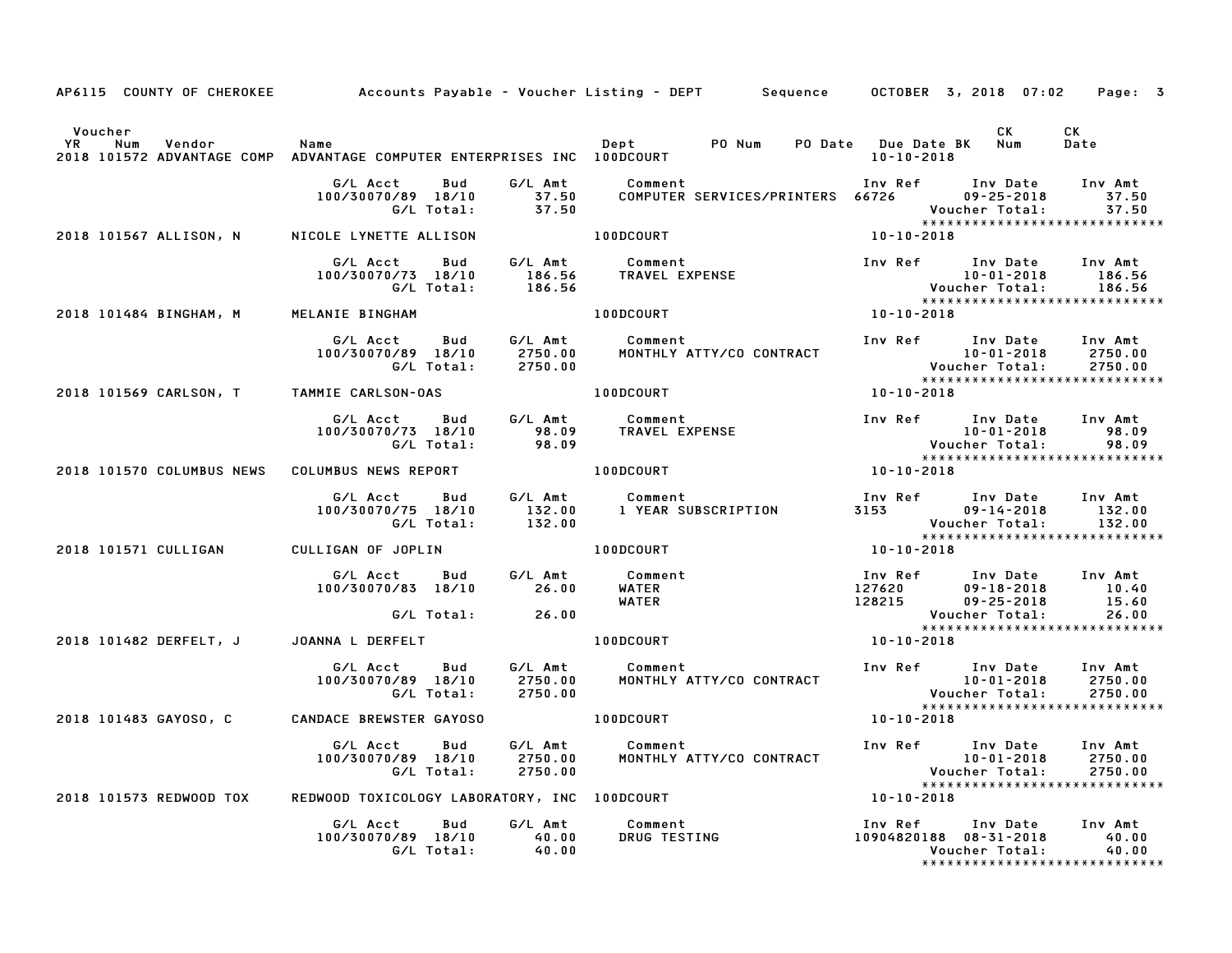| AP6115 COUNTY OF CHEROKEE                                                                                        |                                                     |                                                         | Accounts Payable – Voucher Listing – DEPT         Sequence |                  | OCTOBER 3, 2018 07:02                                                                                  | Page: 3                       |
|------------------------------------------------------------------------------------------------------------------|-----------------------------------------------------|---------------------------------------------------------|------------------------------------------------------------|------------------|--------------------------------------------------------------------------------------------------------|-------------------------------|
| Voucher<br><b>YR</b><br>Num<br>Vendor<br>2018 101572 ADVANTAGE COMP ADVANTAGE COMPUTER ENTERPRISES INC 100DCOURT | Name                                                |                                                         | Dept<br>PO Num                                             | $10 - 10 - 2018$ | CK.<br>PO Date Due Date BK Num                                                                         | CK<br>Date                    |
|                                                                                                                  | G/L Acct<br>Bud<br>100/30070/89 18/10<br>G/L Total: | G/L Amt<br>37.50<br>37.50                               | Comment<br>COMPUTER SERVICES/PRINTERS 66726                |                  | Inv Ref Inv Date<br>$09 - 25 - 2018$<br>Voucher Total:<br>*****************************                | Inv Amt<br>37.50<br>37.50     |
| 2018 101567 ALLISON, N                                                                                           | NICOLE LYNETTE ALLISON                              |                                                         | <b>100DCOURT</b>                                           | 10-10-2018       |                                                                                                        |                               |
|                                                                                                                  | G/L Acct<br>Bud<br>100/30070/73 18/10<br>G/L Total: | G/L Amt<br>186.56<br>186.56                             | Comment<br>TRAVEL EXPENSE                                  |                  | Inv Ref      Inv Date     Inv Amt<br>10-01-2018<br>Voucher Total:<br>*****************************     | 186.56<br>186.56              |
| 2018 101484 BINGHAM, M                                                                                           | MELANIE BINGHAM                                     |                                                         | 100DCOURT                                                  | $10 - 10 - 2018$ |                                                                                                        |                               |
|                                                                                                                  | G/L Acct<br>Bud<br>100/30070/89 18/10<br>G/L Total: | 2750.00<br>2750.00                                      | G/L Amt Comment<br>MONTHLY ATTY/CO CONTRACT                |                  | Inv Ref Inv Date<br>10-01-2018<br>Voucher Total:<br>*****************************                      | Inv Amt<br>2750.00<br>2750.00 |
| 2018 101569 CARLSON, T TAMMIE CARLSON-OAS                                                                        |                                                     |                                                         | 100DCOURT                                                  | 10-10-2018       |                                                                                                        |                               |
|                                                                                                                  | G/L Acct<br>Bud<br>100/30070/73 18/10<br>G/L Total: | G/L Amt<br>98.09<br>98.09                               | Comment<br>TRAVEL EXPENSE                                  |                  | Inv Ref Inv Date<br>$10 - 01 - 2018$<br>Voucher Total:                                                 | Inv Amt<br>98.09<br>98.09     |
| 2018 101570 COLUMBUS NEWS                                                                                        | COLUMBUS NEWS REPORT                                |                                                         | 100DCOURT                                                  | 10-10-2018       |                                                                                                        |                               |
|                                                                                                                  | G/L Acct<br>Bud<br>100/30070/75 18/10<br>G/L Total: | G/L Amt<br>132.00<br>132.00                             | Comment<br>1 YEAR SUBSCRIPTION                             |                  | Inv Ref      Inv Date<br>3153<br>8153 09-14-2018<br>7. Voucher Total:<br>***************************** | Inv Amt<br>132.00<br>132.00   |
| 2018 101571 CULLIGAN                                                                                             | CULLIGAN OF JOPLIN                                  |                                                         | 100DCOURT                                                  | $10 - 10 - 2018$ |                                                                                                        |                               |
|                                                                                                                  | G/L Acct<br><b>Bud</b><br>100/30070/83 18/10        | G/L Amt<br>26.00                                        | Comment<br>WATER<br><b>WATER</b>                           |                  | 1nv Ref        Inv Date<br>127620            09-18-2018<br>128215          09-25-2018                  | Inv Amt<br>10.40<br>15.60     |
|                                                                                                                  | G/L Total:                                          | 26.00                                                   |                                                            |                  | Voucher Total:<br>*****************************                                                        | 26.00                         |
| 2018 101482 DERFELT, J                                                                                           | JOANNA L DERFELT                                    |                                                         | 100DCOURT                                                  | $10 - 10 - 2018$ |                                                                                                        |                               |
|                                                                                                                  | G/L Acct<br>Bud<br>100/30070/89 18/10<br>G/L Total: | G/L Amt<br>2750.00<br>2750.00                           | Comment<br>MONTHLY ATTY/CO CONTRACT                        |                  | Inv Ref Inv Date<br>10-01-2018<br>10-01-2018<br>:Voucher Total<br>*****************************        | Inv Amt<br>2750.00<br>2750.00 |
| 2018 101483 GAYOSO, C                                                                                            | <b>CANDACE BREWSTER GAYOSO</b>                      |                                                         | 100DCOURT                                                  | 10-10-2018       |                                                                                                        |                               |
|                                                                                                                  | G/L Acct<br>Bud<br>100/30070/89 18/10<br>G/L Total: | G/L Amt<br>2750.00<br>2750.00                           | Comment<br>MONTHLY ATTY/CO CONTRACT                        |                  | Inv Ref Inv Date<br>$10 - 01 - 2018$<br>Voucher Total:<br>*****************************                | Inv Amt<br>2750.00<br>2750.00 |
| 2018 101573 REDWOOD TOX                                                                                          | REDWOOD TOXICOLOGY LABORATORY, INC 100DCOURT        |                                                         |                                                            | 10-10-2018       |                                                                                                        |                               |
|                                                                                                                  | G/L Acct<br>Bud<br>100/30070/89 18/10<br>G/L Total: | G/L Amt<br>$\begin{array}{c} 40.00 \ 40.00 \end{array}$ | Comment<br>DRUG TESTING                                    |                  | Inv Ref Inv Date<br>10904820188  08-31-2018<br>Voucher Total:<br>*******************************       | Inv Amt<br>40.00<br>40.00     |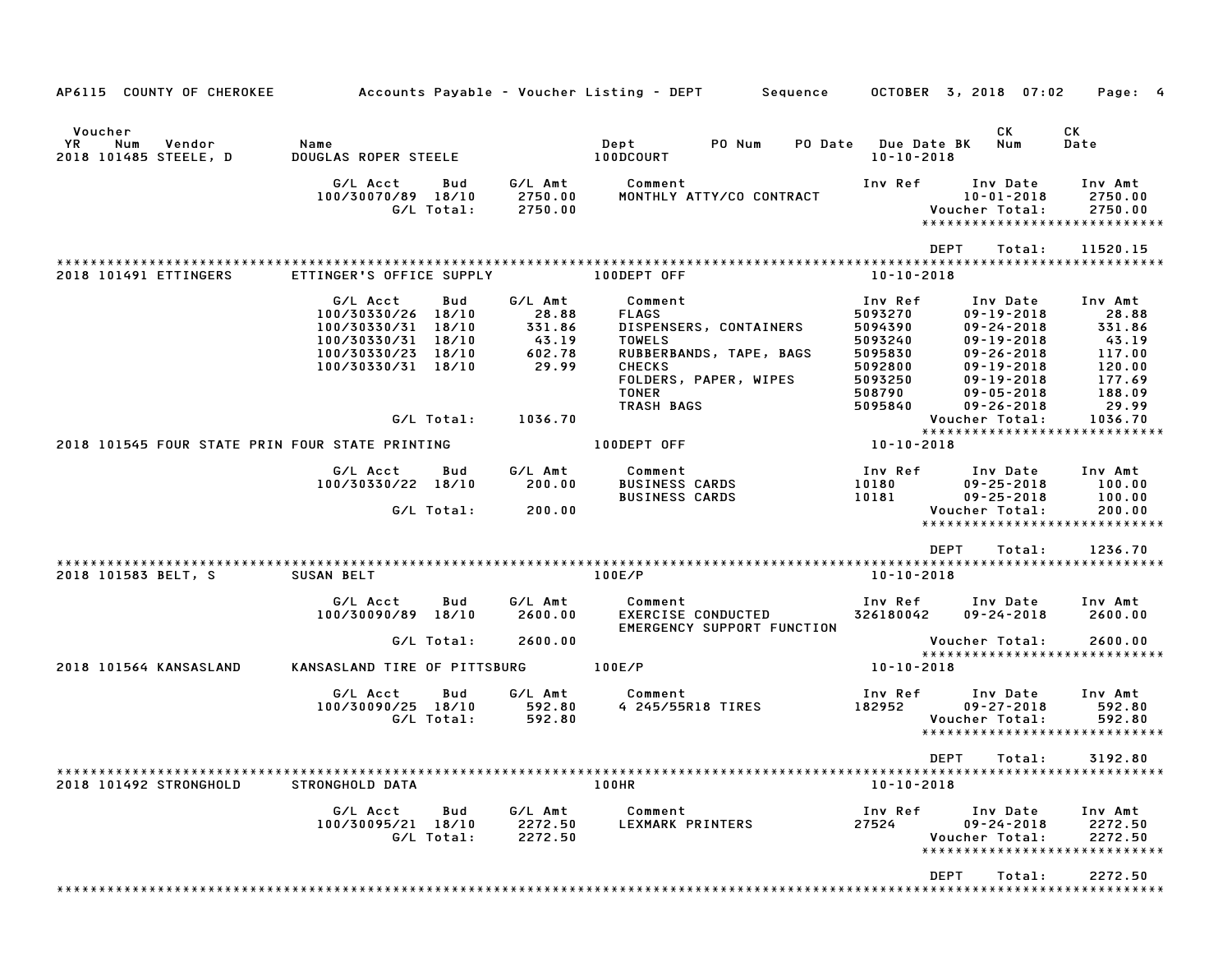| AP6115 COUNTY OF CHEROKEE                                      |                                                                                                                        |                   |                                                        | Accounts Payable – Voucher Listing – DEPT        Sequence                                                                                               |                                                                                     | OCTOBER 3, 2018 07:02                                                                                                                                | Page: 4                                                                     |
|----------------------------------------------------------------|------------------------------------------------------------------------------------------------------------------------|-------------------|--------------------------------------------------------|---------------------------------------------------------------------------------------------------------------------------------------------------------|-------------------------------------------------------------------------------------|------------------------------------------------------------------------------------------------------------------------------------------------------|-----------------------------------------------------------------------------|
| Voucher<br><b>YR</b><br>Num<br>Vendor<br>2018 101485 STEELE, D | Name<br>DOUGLAS ROPER STEELE                                                                                           |                   |                                                        | Dept<br>PO Num<br>PO Date<br>100DCOURT                                                                                                                  | <b>Due Date BK</b><br>$10 - 10 - 2018$                                              | CK<br>Num                                                                                                                                            | СK<br>Date                                                                  |
|                                                                | G/L Acct<br>100/30070/89 18/10                                                                                         | Bud<br>G/L Total: | G/L Amt<br>2750.00<br>2750.00                          | Comment<br>MONTHLY ATTY/CO CONTRACT                                                                                                                     | Inv Ref                                                                             | Inv Date<br>$10 - 01 - 2018$<br>Voucher Total:<br>*****************************                                                                      | Inv Amt<br>2750.00<br>2750.00                                               |
|                                                                |                                                                                                                        |                   |                                                        |                                                                                                                                                         |                                                                                     | <b>DEPT</b><br>Total:                                                                                                                                | 11520.15                                                                    |
| 2018 101491 ETTINGERS                                          | ETTINGER'S OFFICE SUPPLY                                                                                               |                   |                                                        | 100DEPT OFF                                                                                                                                             | $10 - 10 - 2018$                                                                    |                                                                                                                                                      |                                                                             |
|                                                                | G/L Acct<br>100/30330/26 18/10<br>100/30330/31 18/10<br>100/30330/31 18/10<br>100/30330/23 18/10<br>100/30330/31 18/10 | Bud               | G/L Amt<br>28.88<br>331.86<br>43.19<br>602.78<br>29.99 | Comment<br><b>FLAGS</b><br>DISPENSERS, CONTAINERS<br><b>TOWELS</b><br>RUBBERBANDS, TAPE, BAGS<br><b>CHECKS</b><br>FOLDERS, PAPER, WIPES<br><b>TONER</b> | Inv Ref<br>5093270<br>5094390<br>5093240<br>5095830<br>5092800<br>5093250<br>508790 | Inv Date<br>$09 - 19 - 2018$<br>$09 - 24 - 2018$<br>$09 - 19 - 2018$<br>$09 - 26 - 2018$<br>$09 - 19 - 2018$<br>$09 - 19 - 2018$<br>$09 - 05 - 2018$ | Inv Amt<br>28.88<br>331.86<br>43.19<br>117.00<br>120.00<br>177.69<br>188.09 |
|                                                                |                                                                                                                        | G/L Total:        | 1036.70                                                | TRASH BAGS                                                                                                                                              | 5095840                                                                             | $09 - 26 - 2018$<br>Voucher Total:                                                                                                                   | 29.99<br>1036.70                                                            |
| 2018 101545 FOUR STATE PRIN FOUR STATE PRINTING                |                                                                                                                        |                   |                                                        | 100DEPT OFF                                                                                                                                             | 10-10-2018                                                                          | *****************************                                                                                                                        |                                                                             |
|                                                                | G/L Acct<br>100/30330/22 18/10                                                                                         | Bud<br>G/L Total: | G/L Amt<br>200.00<br>200.00                            | Comment<br><b>BUSINESS CARDS</b><br><b>BUSINESS CARDS</b>                                                                                               | Inv Ref<br>10180<br>10181                                                           | Inv Date<br>$09 - 25 - 2018$<br>$09 - 25 - 2018$<br>Voucher Total:<br>*****************************                                                  | Inv Amt<br>100.00<br>100.00<br>200.00                                       |
|                                                                |                                                                                                                        |                   |                                                        |                                                                                                                                                         |                                                                                     | <b>DEPT</b><br>Total:                                                                                                                                | 1236.70                                                                     |
| 2018 101583 BELT, S                                            | SUSAN BELT                                                                                                             |                   |                                                        | 100E/P                                                                                                                                                  | $10 - 10 - 2018$                                                                    |                                                                                                                                                      |                                                                             |
|                                                                | G/L Acct<br>100/30090/89 18/10                                                                                         | Bud               | G/L Amt<br>2600.00                                     | Comment<br>EXERCISE CONDUCTED<br>EMERGENCY SUPPORT FUNCTION                                                                                             | Inv Ref<br>326180042                                                                | Inv Date<br>$09 - 24 - 2018$                                                                                                                         | Inv Amt<br>2600.00                                                          |
|                                                                |                                                                                                                        | G/L Total:        | 2600.00                                                |                                                                                                                                                         |                                                                                     | Voucher Total:<br>*****************************                                                                                                      | 2600.00                                                                     |
| 2018 101564 KANSASLAND                                         | KANSASLAND TIRE OF PITTSBURG                                                                                           |                   |                                                        | 100E/P                                                                                                                                                  | 10-10-2018                                                                          |                                                                                                                                                      |                                                                             |
|                                                                | G/L Acct<br>100/30090/25 18/10                                                                                         | Bud<br>G/L Total: | G/L Amt<br>592.80<br>592.80                            | Comment<br>4 245/55R18 TIRES                                                                                                                            | Inv Ref<br>182952                                                                   | Inv Date<br>$09 - 27 - 2018$<br>Voucher Total:<br>*****************************                                                                      | Inv Amt<br>592.80<br>592.80                                                 |
|                                                                |                                                                                                                        |                   |                                                        |                                                                                                                                                         |                                                                                     | DEPT Total:                                                                                                                                          | 3192.80                                                                     |
| 2018 101492 STRONGHOLD                                         | STRONGHOLD DATA                                                                                                        |                   |                                                        | 100HR                                                                                                                                                   | $10 - 10 - 2018$                                                                    |                                                                                                                                                      |                                                                             |
|                                                                | G/L Acct<br>100/30095/21 18/10                                                                                         | Bud<br>G/L Total: | G/L Amt<br>2272.50<br>2272.50                          | Comment<br>LEXMARK PRINTERS                                                                                                                             | Inv Ref<br>27524                                                                    | Inv Date<br>$09 - 24 - 2018$<br>Voucher Total:<br>*****************************                                                                      | Inv Amt<br>2272.50<br>2272.50                                               |
|                                                                |                                                                                                                        |                   |                                                        |                                                                                                                                                         |                                                                                     | DEPT<br>Total:                                                                                                                                       | 2272.50                                                                     |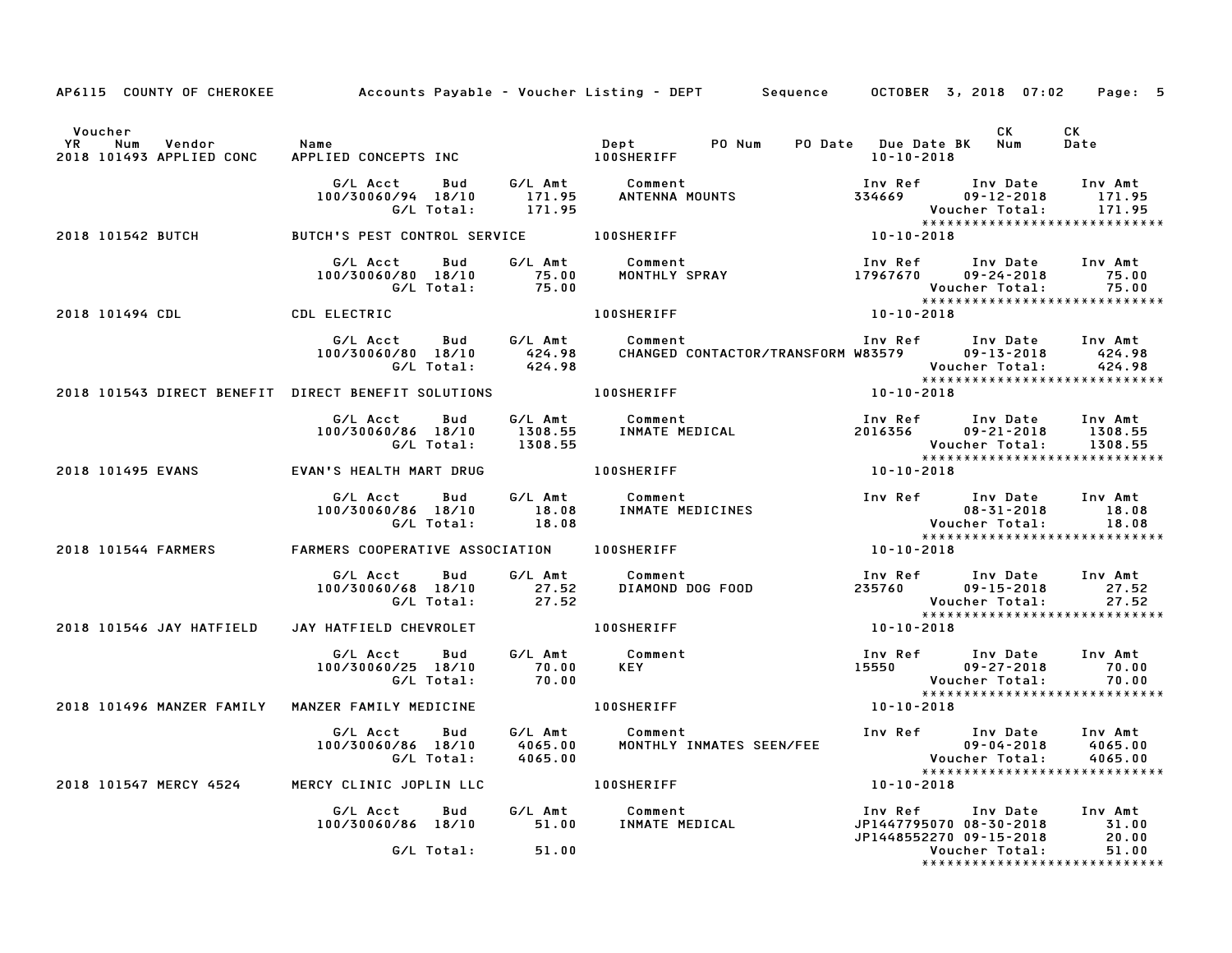|                                                                        |                                                                 |                    | AP6115 COUNTY OF CHEROKEE     Accounts Payable – Voucher Listing – DEPT   Sequence   OCTOBER 3, 2018 07:02   Page: 5 |                                                               |                                                                                                    |
|------------------------------------------------------------------------|-----------------------------------------------------------------|--------------------|----------------------------------------------------------------------------------------------------------------------|---------------------------------------------------------------|----------------------------------------------------------------------------------------------------|
| Voucher<br>YR<br>Num<br>Vendor<br>2018 101493 APPLIED CONC             | Name<br>APPLIED CONCEPTS INC                                    |                    | Dept<br>PO Num<br><b>100SHERIFF</b>                                                                                  | PO Date Due Date BK Num<br>10-10-2018                         | CK<br>CK<br>Date                                                                                   |
|                                                                        | G/L Acct<br>Bud<br>100/30060/94 18/10<br>G/L Total:             | 171.95<br>171.95   | G/L Amt       Comment<br>171.95      ANTENNA MOUNTS                                                                  | Inv Ref      Inv Date<br>$334669$ $09-12-2018$                | Inv Amt<br>171.95<br>171.95<br>Voucher Total:                                                      |
| 2018 101542 BUTCH                                                      | BUTCH'S PEST CONTROL SERVICE 100SHERIFF                         |                    |                                                                                                                      | 10-10-2018                                                    |                                                                                                    |
|                                                                        | G/L Acct Bud<br>100/30060/80 18/10 75.00<br>G/L Total: 75.00    |                    | G/L Amt Comment 10 Inv Ref Inv Date<br>75.00 MONTHLY SPRAY 17967670 09-24-2018                                       |                                                               | Inv Ref      Inv Date     Inv Amt<br>75.00<br>Voucher Total: 75.00<br>**************************** |
| 2018 101494 CDL                                                        | <b>CDL ELECTRIC</b>                                             |                    | <b>100SHERIFF</b>                                                                                                    | $10 - 10 - 2018$                                              |                                                                                                    |
|                                                                        | G/L Total: 424.98                                               |                    | CHANGED CONTACTOR/TRANSFORM W83579 09-13-2018                                                                        | Inv Ref      Inv Date                                         | Inv Amt<br>424.98<br>Voucher Total:<br>424.98                                                      |
| 2018 101543 DIRECT BENEFIT DIRECT BENEFIT SOLUTIONS THE RIGHT RESERVED |                                                                 |                    |                                                                                                                      | 10-10-2018                                                    | *****************************                                                                      |
|                                                                        | G/L Acct<br>Bud                                                 | G/L Amt            | Comment<br>100/30060/86 18/10 1308.55 INMATE MEDICAL<br>G/L Total: 1308.55                                           | Inv Ref      Inv Date<br>2016356 09-21-2018                   | Inv Amt<br>1308.55<br>Voucher Total:                                                               |
| 2018 101495 EVANS                                                      | EVAN'S HEALTH MART DRUG                                         |                    | 100SHERIFF                                                                                                           | $10 - 10 - 2018$                                              |                                                                                                    |
|                                                                        | G/L Acct Bud<br>100/30060/86 18/10<br>G/L Total:                | 18.08              | G/L Amt Comment<br>18.08 INMATE MEDICINES                                                                            | Inv Ref       Inv Date<br>08–31–2018                          | Inv Amt<br>08-31-2018<br>18.08<br>18.08<br>*****************************                           |
| 2018 101544 FARMERS                                                    | FARMERS COOPERATIVE ASSOCIATION 100SHERIFF                      |                    |                                                                                                                      | $10 - 10 - 2018$                                              |                                                                                                    |
|                                                                        | Bud<br>G/L Acct<br>100/30060/68 18/10<br>G/L Total:             | 27.52<br>27.52     | G/L Amt Comment<br>DIAMOND DOG FOOD                                                                                  | Inv Ref      Inv Date<br>235760                               | Inv Amt<br>27.52<br>09-15-2018<br>27.52<br>Voucher Total:<br>*****************************         |
| 2018 101546 JAY HATFIELD                                               | JAY HATFIELD CHEVROLET                                          |                    | <b>100SHERIFF</b>                                                                                                    | 10-10-2018                                                    |                                                                                                    |
|                                                                        | G/L Acct Bud<br>100/30060/25 18/10<br>G/L Total:                | 70.00<br>70.00     | G/L Amt Comment<br><b>KEY</b>                                                                                        | Inv Ref      Inv Date<br>$15550$ $09-27-2018$                 | Inv Amt<br>70.00<br>Voucher Total:<br>70.00                                                        |
| 2018 101496 MANZER FAMILY MANZER FAMILY MEDICINE                       |                                                                 |                    | 100SHERIFF                                                                                                           | $10 - 10 - 2018$                                              | *****************************                                                                      |
|                                                                        | G/L Acct Bud<br>100/30060/86 18/10<br>G/L Total:        4065.00 | G/L Amt<br>4065.00 | Comment<br>MONTHLY INMATES SEEN/FEE                                                                                  | Inv Ref      Inv Date<br>09-04-2018<br>:Voucher Total         | Inv Amt<br>$09 - 04 - 2018$<br>4065.00<br>4065.00                                                  |
| 2018 101547 MERCY 4524                                                 | MERCY CLINIC JOPLIN LLC                                         |                    | <b>100SHERIFF</b>                                                                                                    | 10-10-2018                                                    |                                                                                                    |
|                                                                        | G/L Acct<br><b>Bud</b><br>100/30060/86 18/10 51.00              |                    | G/L Amt Comment<br>Comment<br>INMATE MEDICAL                                                                         | Inv Ref<br>JP1447795070 08-30-2018<br>JP1448552270 09-15-2018 | Inv Date<br>Inv Amt<br>31.00<br>20.00                                                              |
|                                                                        | G/L Total:                                                      | 51.00              |                                                                                                                      |                                                               | 51.00<br>Voucher Total:<br>*****************************                                           |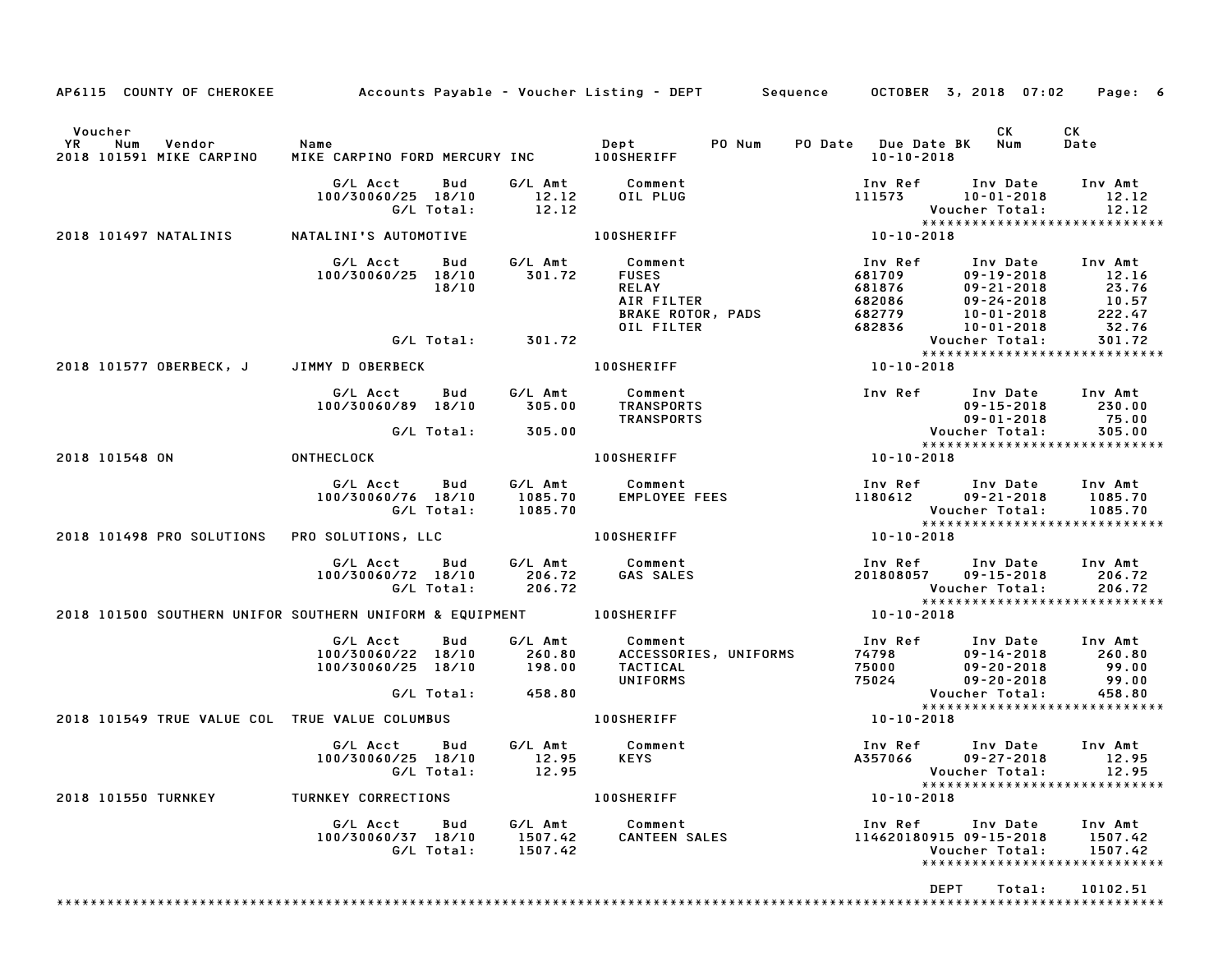|                                                                     |                                                                |                               | AP6115 COUNTY OF CHEROKEE Accounts Payable - Voucher Listing - DEPT Sequence OCTOBER 3, 2018 07:02 Page: 6 |                                                                                                 |                                                                                                                                          |
|---------------------------------------------------------------------|----------------------------------------------------------------|-------------------------------|------------------------------------------------------------------------------------------------------------|-------------------------------------------------------------------------------------------------|------------------------------------------------------------------------------------------------------------------------------------------|
| Voucher<br><b>YR</b><br>Num<br>Vendor<br>2018 101591 MIKE CARPINO   | Name                                                           |                               |                                                                                                            | PO Date Due Date BK Num<br>10-10-2018                                                           | CK<br>CK<br>Date                                                                                                                         |
|                                                                     | G/L Acct<br>Bud<br>100/30060/25 18/10<br>G/L Total:            | G/L Amt<br>12.12<br>12.12     | Comment<br>OIL PLUG                                                                                        | 111573 10-01-2018                                                                               | Inv Ref      Inv Date     Inv Amt<br>12.12<br>12.12<br>Voucher Total:                                                                    |
| 2018 101497 NATALINIS                                               | NATALINI'S AUTOMOTIVE                                          |                               | <b>100SHERIFF</b>                                                                                          | $10 - 10 - 2018$                                                                                | *****************************                                                                                                            |
|                                                                     | G/L Acct<br>Bud<br>100/30060/25 18/10<br>18/10                 | 301.72                        | G/L Amt Comment<br><b>FUSES</b><br><b>RELAY</b><br>AIR FILTER<br><b>BRAKE ROTOR, PADS</b><br>OIL FILTER    | Inv Ref<br>681709<br>681876<br>682086<br>682086<br>682779<br>10-01-2018<br>682836<br>10-01-2018 | Inv Date Inv Amt<br>12.16<br>$09 - 19 - 2018$<br>23.76<br>10.57<br>222.47<br>32.76                                                       |
|                                                                     | G/L Total: 301.72                                              |                               |                                                                                                            |                                                                                                 | 301.72<br>Voucher Total:<br>*****************************                                                                                |
| 2018 101577 OBERBECK, J JIMMY D OBERBECK                            |                                                                |                               | <b>100SHERIFF</b>                                                                                          | 10-10-2018                                                                                      |                                                                                                                                          |
|                                                                     | G/L Acct<br>Bud<br>100/30060/89 18/10                          | 305.00                        | G/L Amt Comment<br>TRANSPORTS<br><b>TRANSPORTS</b>                                                         |                                                                                                 | Inv Ref Inv Date Inv Amt<br>230.00<br>$09 - 15 - 2018$                                                                                   |
|                                                                     | G/L Total:                                                     | 305.00                        |                                                                                                            |                                                                                                 | 09-01-2018<br>:Voucher Total<br>75.00<br>305.00<br>*****************************                                                         |
| 2018 101548 ON                                                      | <b>ONTHECLOCK</b>                                              |                               | <b>100SHERIFF</b>                                                                                          | 10-10-2018                                                                                      |                                                                                                                                          |
|                                                                     | G/L Acct Bud<br>100/30060/76 18/10<br>G/L Total:               | 1085.70<br>1085.70            | G/L Amt Comment<br>1085.70 EMPLOYEE<br>EMPLOYEE FEES                                                       |                                                                                                 | Inv Ref      Inv Date    Inv Amt<br>1180612        09–21–2018      1085.70<br>Voucher Total:<br>1085.70<br>***************************** |
| 2018 101498 PRO SOLUTIONS PRO SOLUTIONS, LLC                        |                                                                |                               | <b>100SHERIFF</b>                                                                                          | 10-10-2018                                                                                      |                                                                                                                                          |
|                                                                     | G/L Acct<br>100/30060/72 18/10<br>G/L Total:                   | 206.72<br>206.72              | Bud G/L Amt Comment<br>GAS SALES                                                                           | Inv Ref<br>201808057                                                                            | Inv Date Inv Amt<br>09-15-2018 206.72<br>206.72<br>Voucher Total:<br>*****************************                                       |
| 2018 101500 SOUTHERN UNIFOR SOUTHERN UNIFORM & EQUIPMENT 400SHERIFF |                                                                |                               |                                                                                                            | 10-10-2018                                                                                      |                                                                                                                                          |
|                                                                     | G/L Acct<br>Bud<br>100/30060/22 18/10<br>100/30060/25 18/10    | G/L Amt<br>260.80<br>198.00   | Comment<br>ACCESSORIES, UNIFORMS<br>TACTICAL<br>UNIFORMS                                                   | 75000 09-20-2018<br>75024 09-20-2018                                                            | Inv Ref Inv Date Inv Amt<br>09-14-2018<br>260.80<br>99.00<br>99.00                                                                       |
|                                                                     | G/L Total:                                                     | 458.80                        |                                                                                                            |                                                                                                 | Voucher Total:<br>458.80<br>*****************************                                                                                |
| 2018 101549 TRUE VALUE COL TRUE VALUE COLUMBUS                      |                                                                |                               | <b>100SHERIFF</b>                                                                                          | 10-10-2018                                                                                      |                                                                                                                                          |
|                                                                     | G/L Acct<br>Bud<br>100/30060/25 18/10 12.95 KEYS<br>G/L Total: | 12.95                         | G/L Amt Comment                                                                                            |                                                                                                 | Inv Ref Inv Date Inv Amt<br>A357066 09-27-2018 12.95<br>Voucher Total: 12.95<br>*****************************                            |
| <b>2018 101550 TURNKEY</b>                                          | TURNKEY CORRECTIONS                                            |                               | <b>100SHERIFF</b>                                                                                          | $10 - 10 - 2018$                                                                                |                                                                                                                                          |
|                                                                     | G/L Acct Bud<br>100/30060/37 18/10<br>G/L Total:               | G/L Amt<br>1507.42<br>1507.42 | Comment<br><b>CANTEEN SALES</b>                                                                            | Inv Ref      Inv Date<br>114620180915 09-15-2018                                                | Inv Amt<br>1507.42<br>Voucher Total:<br>1507.42<br>******************************                                                        |
|                                                                     |                                                                |                               |                                                                                                            | <b>DEPT</b>                                                                                     | 10102.51<br>Total:                                                                                                                       |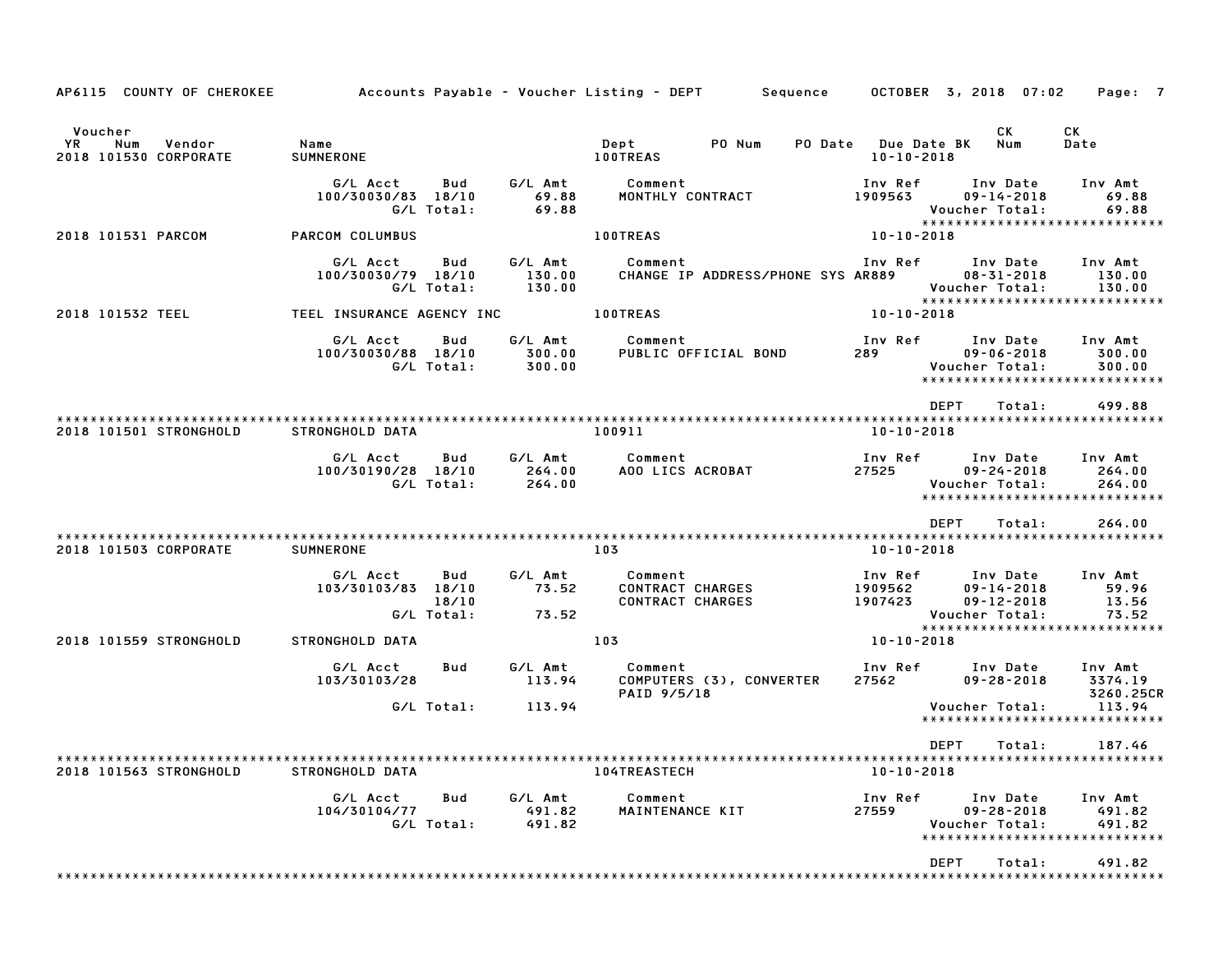| AP6115 COUNTY OF CHEROKEE                               |                                              |                                           | Accounts Payable – Voucher Listing – DEPT         Sequence    | OCTOBER 3, 2018 07:02                                                                                 | Page: 7                                                                          |
|---------------------------------------------------------|----------------------------------------------|-------------------------------------------|---------------------------------------------------------------|-------------------------------------------------------------------------------------------------------|----------------------------------------------------------------------------------|
| Voucher<br>YR<br>Num<br>Vendor<br>2018 101530 CORPORATE | Name<br>SUMNERONE                            |                                           | PO Num<br>Dept<br><b>100TREAS</b>                             | CK<br>PO Date Due Date BK<br>Num<br>$10 - 10 - 2018$                                                  | СK<br>Date                                                                       |
|                                                         | G/L Acct<br>100/30030/83 18/10<br>G/L Total: | G/L Amt<br>Bud<br>69.88<br>69.88          | Comment<br>MONTHLY CONTRACT                                   | Inv Ref      Inv Date<br>1909563<br>$09 - 14 - 2018$<br>Voucher Total:                                | Inv Amt<br>69.88<br>69.88<br>*****************************                       |
| 2018 101531 PARCOM                                      | PARCOM COLUMBUS                              |                                           | <b>100TREAS</b>                                               | 10-10-2018                                                                                            |                                                                                  |
|                                                         | G/L Acct<br>100/30030/79 18/10<br>G/L Total: | G/L Amt<br>Bud<br>130.00<br>130.00        | Comment<br>CHANGE IP ADDRESS/PHONE SYS AR889                  | Inv Ref Inv Date<br>$08 - 31 - 2018$<br>Voucher Total:                                                | Inv Amt<br>130.00<br>130.00<br>*****************************                     |
| 2018 101532 TEEL                                        | TEEL INSURANCE AGENCY INC                    |                                           | <b>100TREAS</b>                                               | 10-10-2018                                                                                            |                                                                                  |
|                                                         | G/L Acct<br>100/30030/88 18/10<br>G/L Total: | Bud<br>G/L Amt<br>300.00<br>300.00        | Comment<br>PUBLIC OFFICIAL BOND                               | Inv Ref<br>Inv Date<br>$09 - 06 - 2018$<br>289 — 1<br>Voucher Total:                                  | Inv Amt<br>300.00<br>300.00<br>*****************************                     |
|                                                         |                                              |                                           |                                                               | DEPT                                                                                                  | 499.88<br>Total:                                                                 |
| 2018 101501 STRONGHOLD                                  | STRONGHOLD DATA                              |                                           | 100911                                                        | 10-10-2018                                                                                            |                                                                                  |
|                                                         | G/L Acct<br>100/30190/28 18/10<br>G/L Total: | G/L Amt<br>Bud<br>264.00<br>264.00        | Comment<br>AOO LICS ACROBAT                                   | Inv Ref      Inv Date<br>27525<br>$09 - 24 - 2018$<br>Voucher Total:                                  | Inv Amt<br>264.00<br>264.00<br>*****************************                     |
|                                                         |                                              |                                           |                                                               | <b>DEPT</b>                                                                                           | 264.00<br>Total:                                                                 |
| 2018 101503 CORPORATE                                   | <b>SUMNERONE</b>                             |                                           | 103                                                           | 10-10-2018                                                                                            |                                                                                  |
|                                                         | G/L Acct<br>103/30103/83 18/10<br>G/L Total: | Bud<br>G/L Amt<br>73.52<br>18/10<br>73.52 | Comment<br><b>CONTRACT CHARGES</b><br><b>CONTRACT CHARGES</b> | Inv Ref      Inv Date<br>1909562<br>$09 - 14 - 2018$<br>1907423<br>$09 - 12 - 2018$<br>Voucher Total: | Inv Amt<br>59.96<br>13.56<br>73.52                                               |
| 2018 101559 STRONGHOLD                                  | STRONGHOLD DATA                              |                                           | 103                                                           | 10-10-2018                                                                                            | *****************************                                                    |
|                                                         | G/L Acct<br>103/30103/28                     | Bud<br>G/L Amt<br>113.94                  | Comment<br>COMPUTERS (3), CONVERTER<br>PAID 9/5/18            | Inv Ref Inv Date<br>27562<br>$09 - 28 - 2018$                                                         | Inv Amt<br>3374.19<br>3260.25CR                                                  |
|                                                         | G/L Total:                                   | 113.94                                    |                                                               | Voucher Total:                                                                                        | 113.94<br>******************************                                         |
|                                                         |                                              |                                           |                                                               | <b>DEPT</b>                                                                                           | 187.46<br>Total:                                                                 |
| 2018 101563 STRONGHOLD                                  | STRONGHOLD DATA                              |                                           | 104TREASTECH                                                  | $10 - 10 - 2018$                                                                                      |                                                                                  |
|                                                         | G/L Acct<br>104/30104/77<br>G/L Total:       | G/L Amt<br>Bud<br>491.82<br>491.82        | Comment<br>MAINTENANCE KIT                                    | Inv Ref<br>Inv Date<br>$09 - 28 - 2018$<br>27559<br>Voucher Total:<br>DEPT                            | Inv Amt<br>491.82<br>491.82<br>*****************************<br>Total:<br>491.82 |
|                                                         |                                              |                                           |                                                               |                                                                                                       |                                                                                  |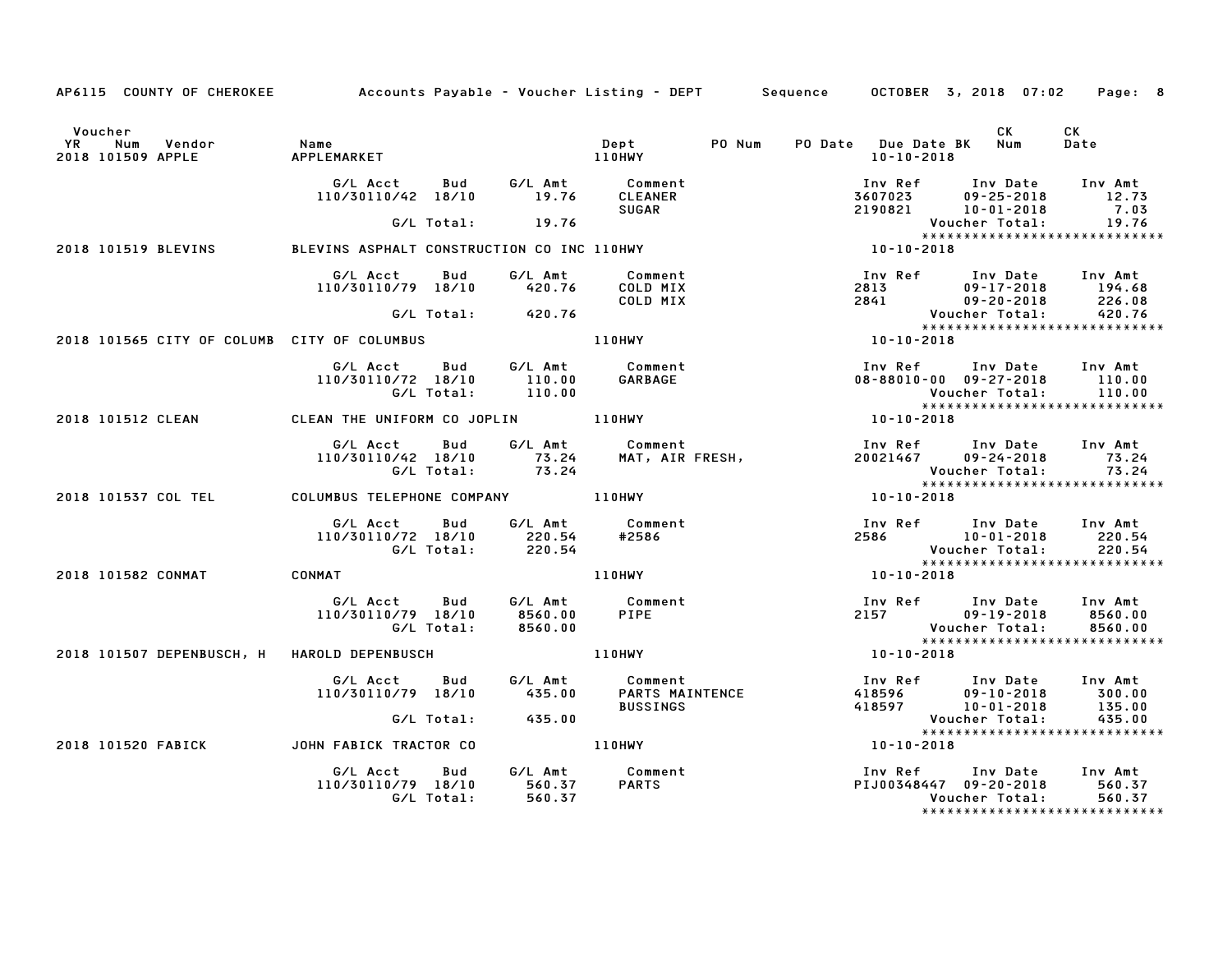| AP6115 COUNTY OF CHEROKEE Accounts Payable - Voucher Listing - DEPT Sequence OCTOBER 3, 2018 07:02 Page: 8                                                                                                                                      |                                                                                                                                     |                                                        |        |                                         |  |                  |                                                                                                                                        |                                                                                                                                           |
|-------------------------------------------------------------------------------------------------------------------------------------------------------------------------------------------------------------------------------------------------|-------------------------------------------------------------------------------------------------------------------------------------|--------------------------------------------------------|--------|-----------------------------------------|--|------------------|----------------------------------------------------------------------------------------------------------------------------------------|-------------------------------------------------------------------------------------------------------------------------------------------|
| Voucher<br>The Mum (Manne Mame Mame ) (Manne Mame ) (Manne Manne ) (Manne Manne ) (Manne Manne ) (Manne Manne Manne Manne<br>Manne (Manne Manne Manne Manne Manne Manne Manne Manne Manne Manne Manne Manne Manne Manne Manne Manne Manne M<br> |                                                                                                                                     |                                                        |        | Dept PO Num                             |  | 10-10-2018       | CK<br>PO Date Due Date BK Num                                                                                                          | CK<br>Date                                                                                                                                |
|                                                                                                                                                                                                                                                 | G/L Acct Bud G/L Amt Comment<br>110/30110/42 18/10 19.76 CLEANER                                                                    |                                                        |        | SUGAR                                   |  |                  | 100 Ref 100 Date 100 Amt<br>3607023 09-25-2018 12.73<br>2190821 10-01-2018 7.03                                                        | 12.73                                                                                                                                     |
|                                                                                                                                                                                                                                                 |                                                                                                                                     | $G/L$ Total: $19.76$                                   |        |                                         |  |                  | Voucher Total:                                                                                                                         | 7.03<br>19.76                                                                                                                             |
| 2018 101519 BLEVINS                                                                                                                                                                                                                             | BLEVINS ASPHALT CONSTRUCTION CO INC 110HWY                                                                                          |                                                        |        |                                         |  | $10 - 10 - 2018$ |                                                                                                                                        | <b>VOUCNer iotal.</b><br>****************************                                                                                     |
|                                                                                                                                                                                                                                                 | G/L Acct Bud<br>110/30110/79 18/10 420.76                                                                                           |                                                        |        | G/L Amt Comment<br>COLD MIX<br>COLD MIX |  |                  |                                                                                                                                        | 1nv Ref 1nv Date 1nv Amt<br>2813 09–17–2018 194.68<br>2841 09–20–2018 226.08<br>Voucher Total: 420.76<br>******************************** |
|                                                                                                                                                                                                                                                 |                                                                                                                                     | G/L Total: 420.76                                      |        |                                         |  |                  |                                                                                                                                        |                                                                                                                                           |
| 2018 101565 CITY OF COLUMB CITY OF COLUMBUS 110HWY                                                                                                                                                                                              |                                                                                                                                     |                                                        |        |                                         |  | $10 - 10 - 2018$ |                                                                                                                                        |                                                                                                                                           |
|                                                                                                                                                                                                                                                 | G/L Acct Bud G/L Amt Comment<br>110/30110/72 18/10 110.00<br>G/L Total: 110.00                                                      |                                                        |        | GARBAGE                                 |  |                  | 100 The Fourner of the Union of the Union of the Union of the Union of the Union of the Union Of the Union Of<br>Volcher Total: 110.00 |                                                                                                                                           |
|                                                                                                                                                                                                                                                 |                                                                                                                                     |                                                        |        |                                         |  | 10-10-2018       |                                                                                                                                        |                                                                                                                                           |
|                                                                                                                                                                                                                                                 | G/L Acct Bud G/L Amt Comment<br>110/30110/42 18/10 5/6 Amic Comment<br>110/30110/42 18/10 73.24 MAT, AIR FRESH,<br>G/L Total: 73.24 |                                                        |        |                                         |  |                  | Inv Ref Inv Date Inv Amt                                                                                                               | Voucher Total: 73.24<br>****************************                                                                                      |
| 2018 101537 COL TEL COLUMBUS TELEPHONE COMPANY 110HWY                                                                                                                                                                                           |                                                                                                                                     |                                                        |        |                                         |  | $10 - 10 - 2018$ |                                                                                                                                        |                                                                                                                                           |
|                                                                                                                                                                                                                                                 | G/L Acct Bud<br>110/30110/72 18/10                                                                                                  | 30110/72 18/10 220.54 #2586<br>G/L Total: 220.54 #2586 |        | G/L Amt Comment                         |  |                  | Inv Ref Inv Date Inv Amt<br>2586 10-01-2018 220.54<br>Voucher Total: 220.54                                                            |                                                                                                                                           |
| 2018 101582 CONMAT CONMAT                                                                                                                                                                                                                       |                                                                                                                                     |                                                        |        | 110HWY                                  |  | 10-10-2018       |                                                                                                                                        |                                                                                                                                           |
|                                                                                                                                                                                                                                                 | G/L Acct Bud G/L Amt Comment<br>110/30110/79 18/10 8560.00                                                                          |                                                        |        | PIPE                                    |  |                  | 1nv Ref 1nv Date 1nv Amt<br>2157 - 09-19-2018 - 8560.00<br>Voucher Total: 8560.00                                                      |                                                                                                                                           |
| 2018 101507 DEPENBUSCH, H HAROLD DEPENBUSCH                                                                                                                                                                                                     |                                                                                                                                     |                                                        |        | 110HWY                                  |  | 10-10-2018       |                                                                                                                                        |                                                                                                                                           |
|                                                                                                                                                                                                                                                 | G/L Acct Bud<br>110/30110/79 18/10                                                                                                  |                                                        |        | <b>BUSSINGS</b>                         |  |                  | 100 Ref 100 Date 100 Amt<br>18596 19910–2018 300.00<br>18597 10–01–2018 135.00                                                         |                                                                                                                                           |
|                                                                                                                                                                                                                                                 |                                                                                                                                     | G/L Total:                                             | 435.00 |                                         |  |                  | Voucher Total:<br>Voucher Total:<br>*****************************                                                                      | 435.00                                                                                                                                    |
| 2018 101520 FABICK JOHN FABICK TRACTOR CO                                                                                                                                                                                                       |                                                                                                                                     |                                                        |        | 110HWY                                  |  | $10 - 10 - 2018$ |                                                                                                                                        |                                                                                                                                           |
|                                                                                                                                                                                                                                                 | G/L Acct  Bud  G/L Amt  Comment<br>110/30110/79  18/10  560.37  PARTS<br>G/L Total:                                                 |                                                        | 560.37 |                                         |  |                  | Inv Ref      Inv Date    Inv Amt<br>PIJ00348447   09-20-2018         560.37<br>Voucher Total:                                          | 560.37                                                                                                                                    |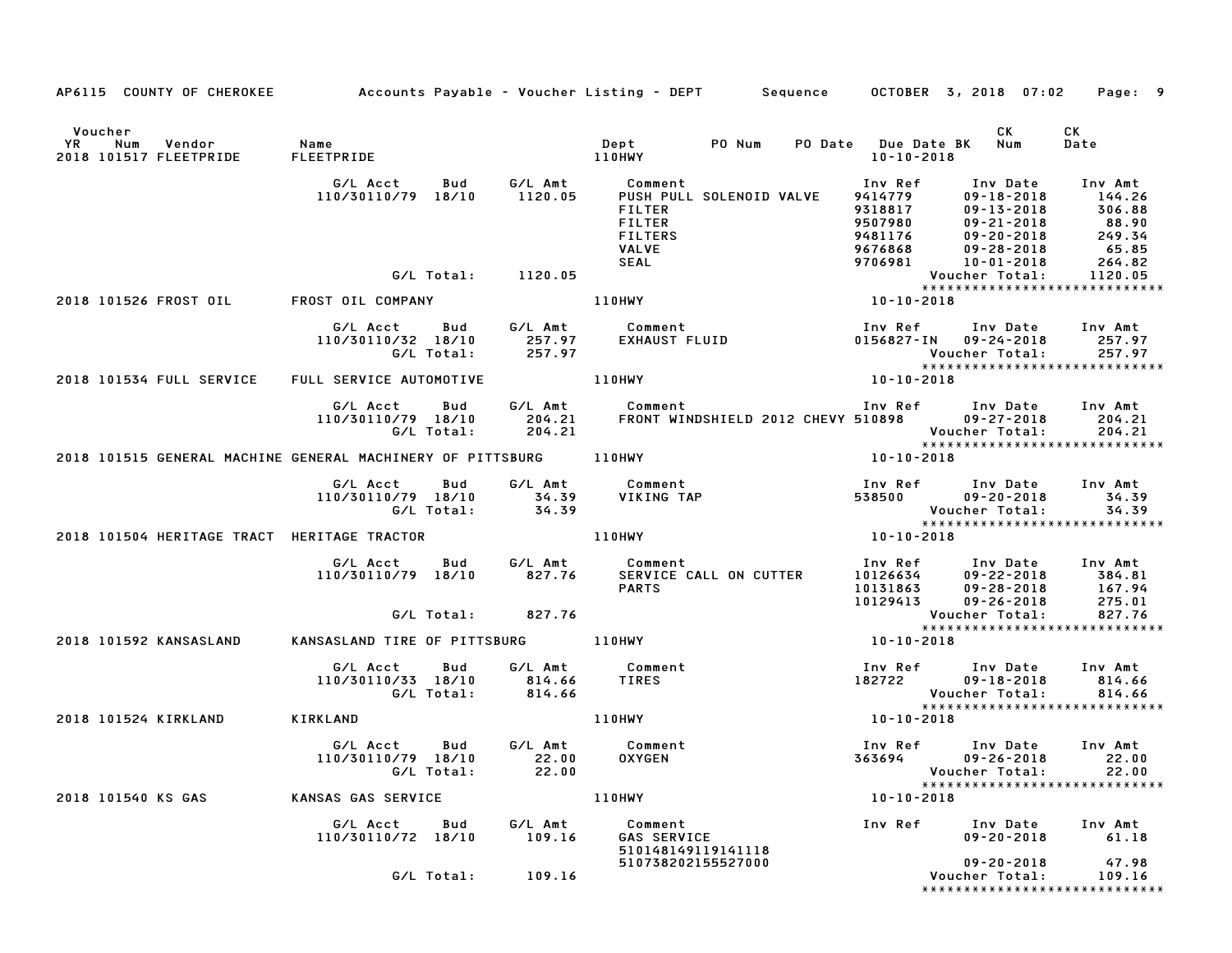|                                                                      |                                                                               |                   | AP6115 COUNTY OF CHEROKEE Accounts Payable - Voucher Listing - DEPT Sequence OCTOBER 3, 2018 07:02 Page: 9                                                                             |                                                                                                    |                                                                                                                                           |
|----------------------------------------------------------------------|-------------------------------------------------------------------------------|-------------------|----------------------------------------------------------------------------------------------------------------------------------------------------------------------------------------|----------------------------------------------------------------------------------------------------|-------------------------------------------------------------------------------------------------------------------------------------------|
|                                                                      |                                                                               |                   |                                                                                                                                                                                        |                                                                                                    |                                                                                                                                           |
| Voucher<br>YR Num Vendor - Name<br>2018 101517 FLEETPRIDE FLEETPRIDE |                                                                               |                   | 110HWY                                                                                                                                                                                 | 10-10-2018                                                                                         | CK<br>CK<br>Date                                                                                                                          |
|                                                                      | G/L Acct<br>Bud<br>110/30110/79 18/10                                         | 1120.05           | G/L Amt Comment<br>PUSH PULL SOLENOID VALVE<br>FILTER<br><b>FILTER</b><br><b>FILTERS</b><br><b>VALVE</b><br>SEAL                                                                       | Inv Ref<br>9414779<br>9318817<br>9318817<br>9507980<br>9481176<br>9676868<br>9706981<br>10-01-2018 | Inv Date Inv Amt<br>$09 - 18 - 2018$<br>144.26<br>306.88<br>09-21-2018 88.90<br>09-20-2018 88.90<br>09-28-2018 65.85<br>10-01-2018 264.82 |
|                                                                      | G/L Total: 1120.05                                                            |                   |                                                                                                                                                                                        |                                                                                                    | 1120.05<br>Voucher Total:                                                                                                                 |
| 2018 101526 FROST OIL FROST OIL COMPANY                              |                                                                               |                   | 110HWY                                                                                                                                                                                 | $10 - 10 - 2018$                                                                                   | *****************************                                                                                                             |
|                                                                      | G/L Acct Bud G/L Amt Comment<br>110/30110/32 18/10<br>G/L Total:              | 257.97            | G/L Amt         Comment<br>257.97      EXHAUST FLUID                                                                                                                                   |                                                                                                    | Inv Ref      Inv Date     Inv Amt<br>0156827-IN 09-24-2018 257.97<br>Voucher Total: 257.97<br>****************************                |
| 2018 101534 FULL SERVICE                                             | FULL SERVICE AUTOMOTIVE <b>THE READER</b>                                     |                   |                                                                                                                                                                                        | $10 - 10 - 2018$                                                                                   |                                                                                                                                           |
|                                                                      |                                                                               |                   | G/L Acct Bud G/L Amt Comment Inv Ref Inv Date Inv Amt<br>110/30110/79 18/10 204.21 FRONT WINDSHIELD 2012 CHEVY 510898 09–27–2018 204.21<br>G/L Total: 204.21 the Soucher Total: 204.21 |                                                                                                    |                                                                                                                                           |
| 2018 101515 GENERAL MACHINE GENERAL MACHINERY OF PITTSBURG 110HWY    |                                                                               |                   |                                                                                                                                                                                        | $10 - 10 - 2018$                                                                                   |                                                                                                                                           |
|                                                                      | G/L Acct<br>Bud<br>110/30110/79 18/10<br>G/L Total:                           | 34.39             | G/L Amt         Comment<br>34.39      VIKING TAP<br>VIKING TAP                                                                                                                         |                                                                                                    | Inv Ref      Inv Date    Inv Amt<br>538500          09–20–2018         34.39<br>Voucher Total: 34.39<br>****************************      |
| 2018 101504 HERITAGE TRACT HERITAGE TRACTOR                          |                                                                               |                   | 110HWY                                                                                                                                                                                 | 10-10-2018                                                                                         |                                                                                                                                           |
|                                                                      | G/L Acct Bud G/L Amt Comment<br>110/30110/79 18/10                            | 827.76            | SERVICE CALL ON CUTTER<br><b>PARTS</b>                                                                                                                                                 | 10126634<br>10129413 09-26-2018                                                                    | Inv Ref Inv Date Inv Amt<br>$09 - 22 - 2018$ 384.81<br>10131863 09-28-2018 167.94<br>275.01                                               |
|                                                                      | G/L Total: 827.76                                                             |                   |                                                                                                                                                                                        |                                                                                                    | Voucher Total: 827.76<br>****************************                                                                                     |
| 2018 101592 KANSASLAND                                               | KANSASLAND TIRE OF PITTSBURG 110HWY                                           |                   |                                                                                                                                                                                        | 10-10-2018                                                                                         |                                                                                                                                           |
|                                                                      | G/L Acct Bud<br>110/30110/33 18/10 814.66 TIRES<br>G/L Total: 814.66 TIRES    |                   | G/L Amt Comment                                                                                                                                                                        |                                                                                                    | Inv Ref Inv Date Inv Amt<br>$182722$ $09-18-2018$ $814.66$<br>Voucher Total:<br>814.66                                                    |
| 2018 101524 KIRKLAND                                                 | KIRKLAND                                                                      |                   | <b>110HWY</b>                                                                                                                                                                          | $10 - 10 - 2018$                                                                                   |                                                                                                                                           |
|                                                                      | G/L Acct Bud G/L Amt Comment<br>110/30110/79 18/10 22.00 OXYGEN<br>G/L Total: | 22.00             |                                                                                                                                                                                        |                                                                                                    | Inv Ref Inv Date Inv Amt<br>363694 09-26-2018 22.00<br>Voucher Total:<br>22.00<br>*****************************                           |
| 2018 101540 KS GAS                                                   | KANSAS GAS SERVICE                                                            |                   | 110HWY                                                                                                                                                                                 | $10 - 10 - 2018$                                                                                   |                                                                                                                                           |
|                                                                      | G/L Acct<br>Bud<br>110/30110/72 18/10                                         | G/L Amt<br>109.16 | Comment<br><b>GAS SERVICE</b><br>510148149119141118                                                                                                                                    | Inv Ref                                                                                            | Inv Date<br>Inv Amt<br>$09 - 20 - 2018$<br>61.18                                                                                          |
|                                                                      | G/L Total:                                                                    | 109.16            | 510738202155527000                                                                                                                                                                     |                                                                                                    | 47.98<br>$09 - 20 - 2018$<br>Voucher Total:<br>109.16<br>*****************************                                                    |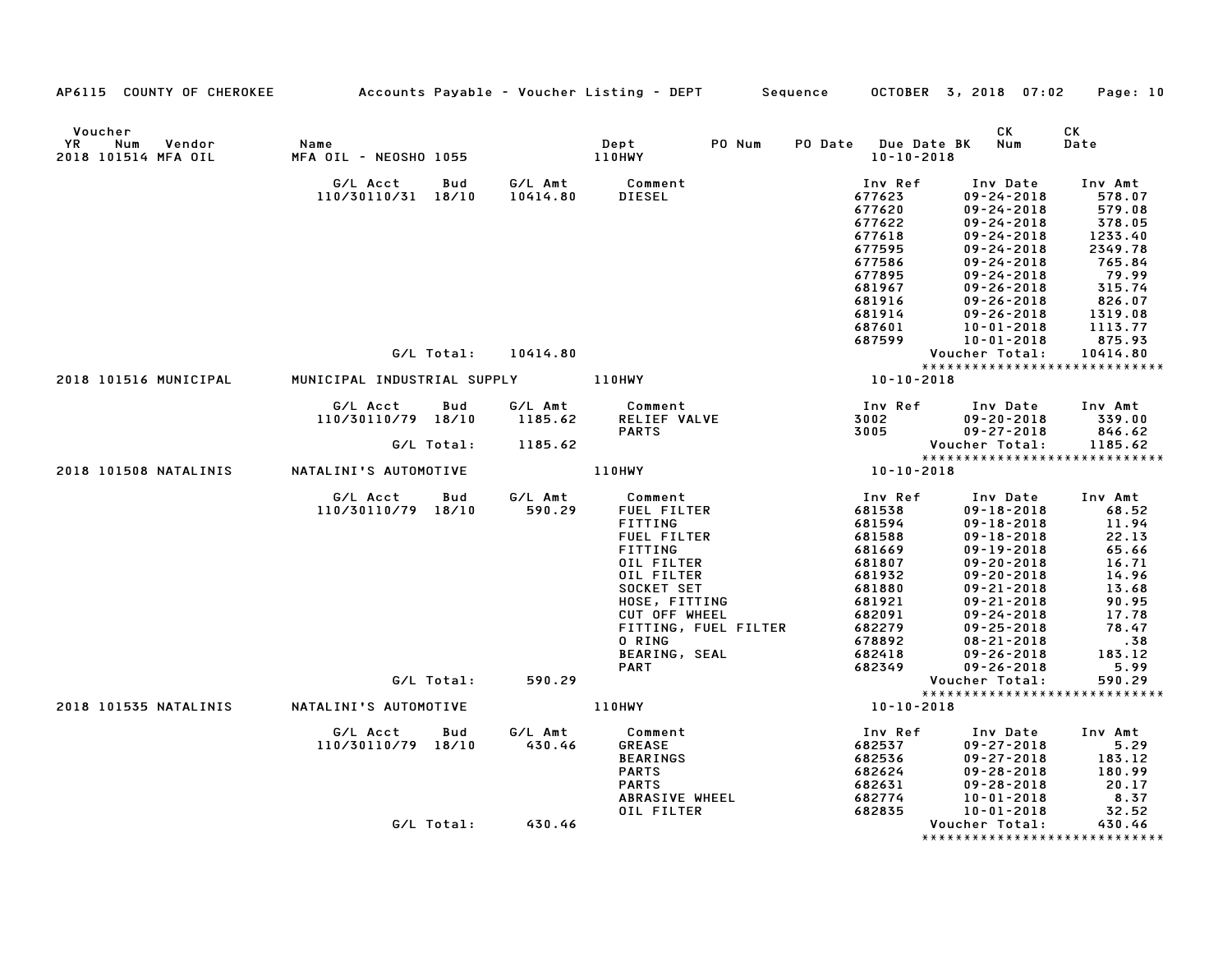| AP6115 COUNTY OF CHEROKEE                             | Accounts Payable – Voucher Listing – DEPT           |                               |                                                                                                                                                                                                                         | Sequence |                                                                                                                                           | OCTOBER 3, 2018 07:02                                                                                                                                                                                                                                                                    | Page: 10                                                                                                                             |
|-------------------------------------------------------|-----------------------------------------------------|-------------------------------|-------------------------------------------------------------------------------------------------------------------------------------------------------------------------------------------------------------------------|----------|-------------------------------------------------------------------------------------------------------------------------------------------|------------------------------------------------------------------------------------------------------------------------------------------------------------------------------------------------------------------------------------------------------------------------------------------|--------------------------------------------------------------------------------------------------------------------------------------|
| Voucher<br>Vendor<br>YR<br>Num<br>2018 101514 MFA OIL | Name<br>MFA OIL - NEOSHO 1055                       |                               | PO Num<br>Dept<br>110HWY                                                                                                                                                                                                |          | PO Date Due Date BK<br>$10 - 10 - 2018$                                                                                                   | СK<br>Num                                                                                                                                                                                                                                                                                | СK<br>Date                                                                                                                           |
|                                                       | G/L Acct<br>Bud<br>110/30110/31 18/10               | 10414.80                      | G/L Amt Comment<br>DIESEL                                                                                                                                                                                               |          | Inv Ref<br>677623<br>677620<br>677622<br>677618<br>677595<br>677586<br>677895<br>681967<br>681916<br>681914<br>687601<br>687599           | Inv Date<br>$09 - 24 - 2018$<br>$09 - 24 - 2018$<br>$09 - 24 - 2018$<br>$09 - 24 - 2018$<br>$09 - 24 - 2018$<br>$09 - 24 - 2018$<br>$09 - 24 - 2018$<br>$09 - 26 - 2018$<br>$09 - 26 - 2018$<br>$09 - 26 - 2018$<br>10-01-2018<br>$10 - 01 - 2018$                                       | Inv Amt<br>578.07<br>579.08<br>378.05<br>1233.40<br>2349.78<br>765.84<br>79.99<br>315.74<br>826.07<br>1319.08<br>1113.77<br>875.93   |
|                                                       | G/L Total:                                          | 10414.80                      |                                                                                                                                                                                                                         |          |                                                                                                                                           | Voucher Total:                                                                                                                                                                                                                                                                           | 10414.80<br>*****************************                                                                                            |
| 2018 101516 MUNICIPAL                                 | MUNICIPAL INDUSTRIAL SUPPLY                         |                               | 110HWY                                                                                                                                                                                                                  |          | $10 - 10 - 2018$                                                                                                                          |                                                                                                                                                                                                                                                                                          |                                                                                                                                      |
|                                                       | G/L Acct<br>Bud<br>110/30110/79 18/10<br>G/L Total: | G/L Amt<br>1185.62<br>1185.62 | Comment<br>RELIEF VALVE<br><b>PARTS</b>                                                                                                                                                                                 |          | Inv Ref<br>3002<br>3005                                                                                                                   | Inv Date<br>$09 - 20 - 2018$<br>$09 - 27 - 2018$<br>Voucher Total:                                                                                                                                                                                                                       | Inv Amt<br>339.00<br>846.62<br>1185.62                                                                                               |
| 2018 101508 NATALINIS                                 | NATALINI'S AUTOMOTIVE                               |                               | 110HWY                                                                                                                                                                                                                  |          | 10-10-2018                                                                                                                                |                                                                                                                                                                                                                                                                                          | *****************************                                                                                                        |
|                                                       | G/L Acct<br>Bud<br>110/30110/79 18/10<br>G/L Total: | G/L Amt<br>590.29<br>590.29   | Comment<br>FUEL FILTER<br>FITTING<br><b>FUEL FILTER</b><br>FITTING<br>OIL FILTER<br>OIL FILTER<br>SOCKET SET<br>HOSE, FITTING<br>CUT OFF WHEEL<br>FITTING, FUEL FILTER<br>0 RING<br><b>BEARING, SEAL</b><br><b>PART</b> |          | Inv Ref<br>681538<br>681594<br>681588<br>681669<br>681807<br>681932<br>681880<br>681921<br>682091<br>682279<br>678892<br>682418<br>682349 | Inv Date<br>09-18-2018<br>$09 - 18 - 2018$<br>$09 - 18 - 2018$<br>$09 - 19 - 2018$<br>$09 - 20 - 2018$<br>$09 - 20 - 2018$<br>$09 - 21 - 2018$<br>$09 - 21 - 2018$<br>$09 - 24 - 2018$<br>$09 - 25 - 2018$<br>$08 - 21 - 2018$<br>$09 - 26 - 2018$<br>$09 - 26 - 2018$<br>Voucher Total: | Inv Amt<br>68.52<br>11.94<br>22.13<br>65.66<br>16.71<br>14.96<br>13.68<br>90.95<br>17.78<br>78.47<br>.38<br>183.12<br>5.99<br>590.29 |
|                                                       |                                                     |                               |                                                                                                                                                                                                                         |          |                                                                                                                                           |                                                                                                                                                                                                                                                                                          | *****************************                                                                                                        |
| 2018 101535 NATALINIS                                 | NATALINI'S AUTOMOTIVE                               |                               | 110HWY                                                                                                                                                                                                                  |          | $10 - 10 - 2018$                                                                                                                          |                                                                                                                                                                                                                                                                                          |                                                                                                                                      |
|                                                       | Bud<br>G/L Acct<br>110/30110/79 18/10               | G/L Amt<br>430.46             | Comment<br><b>GREASE</b><br><b>BEARINGS</b><br><b>PARTS</b><br><b>PARTS</b><br>ABRASIVE WHEEL<br>OIL FILTER                                                                                                             |          | Inv Ref<br>682537<br>682536<br>682624<br>682631<br>682774<br>682835                                                                       | Inv Date<br>$09 - 27 - 2018$<br>$09 - 27 - 2018$<br>$09 - 28 - 2018$<br>$09 - 28 - 2018$<br>$10 - 01 - 2018$<br>$10 - 01 - 2018$                                                                                                                                                         | Inv Amt<br>5.29<br>183.12<br>180.99<br>20.17<br>8.37<br>32.52                                                                        |
|                                                       | G/L Total:                                          | 430.46                        |                                                                                                                                                                                                                         |          |                                                                                                                                           | Voucher Total:                                                                                                                                                                                                                                                                           | 430.46<br>*****************************                                                                                              |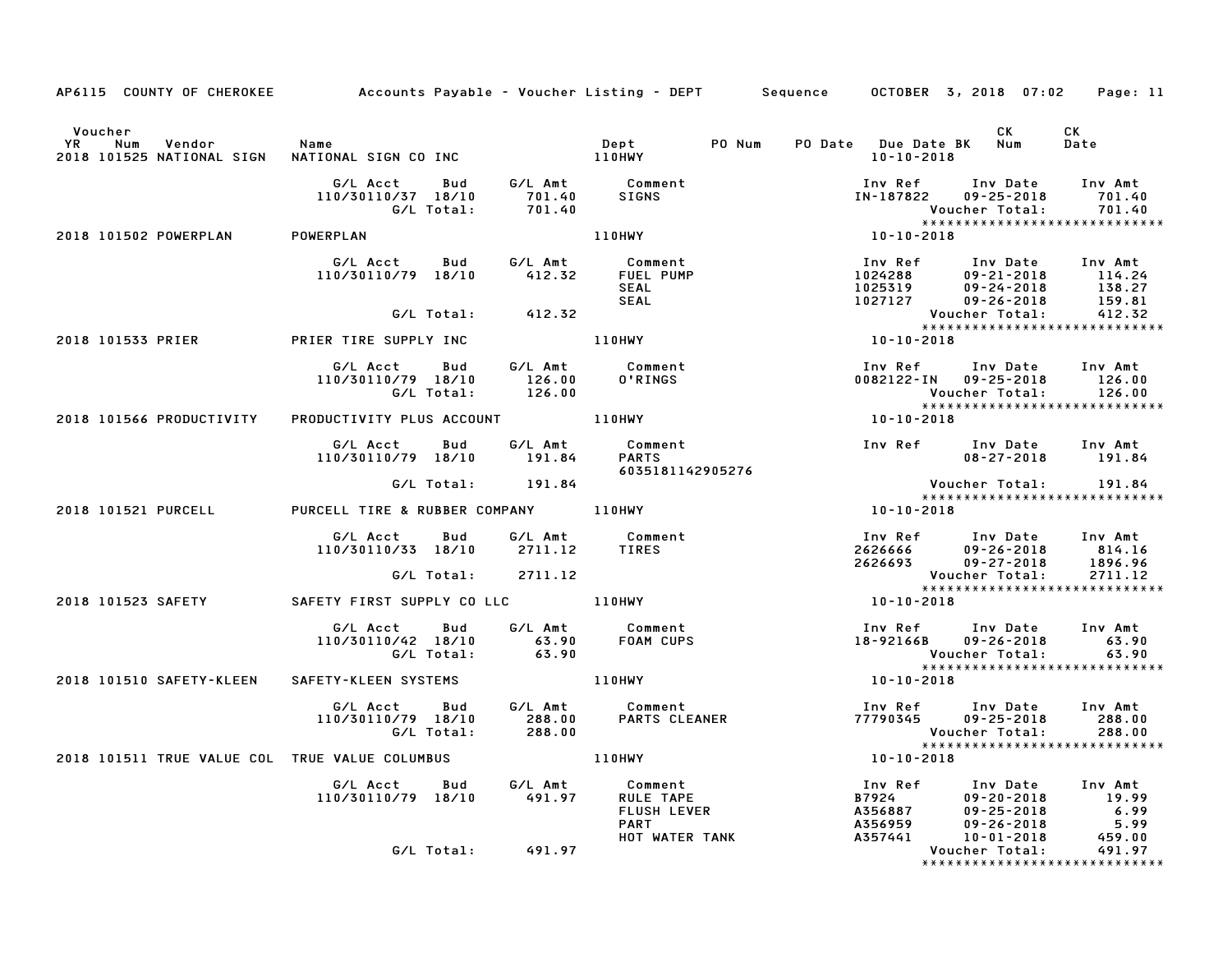| AP6115 COUNTY OF CHEROKEE Accounts Payable - Voucher Listing - DEPT Sequence OCTOBER 3, 2018 07:02            |                                                                                               |                            |                                                                                                                                             |                                                                                                                                                      | Page: 11   |
|---------------------------------------------------------------------------------------------------------------|-----------------------------------------------------------------------------------------------|----------------------------|---------------------------------------------------------------------------------------------------------------------------------------------|------------------------------------------------------------------------------------------------------------------------------------------------------|------------|
|                                                                                                               |                                                                                               |                            |                                                                                                                                             |                                                                                                                                                      | CK<br>Date |
| CK<br>Dept PO Num PO Date Due Date BK Num<br>2018 101525 NATIONAL SIGN NATIONAL SIGN CO INC 110HWY 10-10-2019 |                                                                                               |                            |                                                                                                                                             |                                                                                                                                                      |            |
|                                                                                                               | G/L Acct Bud G/L Amt Comment<br>110/30110/37 18/10 701.40 SIGNS<br>G/L Total: 701.40          |                            |                                                                                                                                             | Inv Ref Inv Date Inv Amt<br>IN-187822 09-25-2018 701.40<br>Voucher Total: 701.40<br>******************************                                   |            |
| 2018 101502 POWERPLAN POWERPLAN                                                                               |                                                                                               | 110HWY                     | $10 - 10 - 2018$                                                                                                                            |                                                                                                                                                      |            |
|                                                                                                               | G/L Acct Bud G/L Amt Comment<br>110/30110/79 18/10   412.32   FUEL PUMP                       | <b>SEAL</b><br><b>SEAL</b> | 1024288 109-21-2018 Inv Amt<br>1024288 09-21-2018 114.24<br>1025319 09-24-2018 138.27<br>1027127 09-26-2018 159.81<br>Voucher Total: 412.32 |                                                                                                                                                      |            |
|                                                                                                               | G/L Total: 412.32                                                                             |                            |                                                                                                                                             |                                                                                                                                                      |            |
| 2018 101533 PRIER PRIER TIRE SUPPLY INC                                                                       |                                                                                               | 110HWY                     | $10 - 10 - 2018$                                                                                                                            |                                                                                                                                                      |            |
|                                                                                                               | G/L Acct  Bud  G/L Amt  Comment<br>110/30110/79  18/10  126.00  0'RINGS<br>G/L Total:  126.00 |                            |                                                                                                                                             | Voucher Total: 126.00<br>****************************                                                                                                |            |
|                                                                                                               |                                                                                               |                            | $10 - 10 - 2018$                                                                                                                            |                                                                                                                                                      |            |
|                                                                                                               | G/L Acct  Bud  G/L Amt  Comment<br>110/30110/79 18/10  191.84  PARTS                          |                            |                                                                                                                                             |                                                                                                                                                      |            |
|                                                                                                               | G/L Total: 191.84                                                                             | 6035181142905276           |                                                                                                                                             | Voucher Total: 191.84                                                                                                                                |            |
|                                                                                                               |                                                                                               |                            |                                                                                                                                             | *****************************                                                                                                                        |            |
| 2018 101521 PURCELL PURCELL TIRE & RUBBER COMPANY 110HWY                                                      |                                                                                               |                            | $10 - 10 - 2018$                                                                                                                            |                                                                                                                                                      |            |
|                                                                                                               | G/L Acct  Bud  G/L Amt  Comment<br>110/30110/33  18/10  2711.12  TIRES                        |                            |                                                                                                                                             | Inv Ref Inv Date Inv Amt<br>2626666 09-26-2018 814.16<br>2626693 09-27-2018 1896.96<br>Voucher Total: 2711.12<br>******************************      |            |
|                                                                                                               | G/L Total: 2711.12                                                                            |                            |                                                                                                                                             |                                                                                                                                                      |            |
| 2018 101523 SAFETY <b>SAFETY FIRST SUPPLY CO LLC</b> 110HWY                                                   |                                                                                               |                            | $10 - 10 - 2018$                                                                                                                            |                                                                                                                                                      |            |
|                                                                                                               | G/L Acct Bud G/L Amt Comment<br>110/30110/42 18/10 63.90 FOAM CUPS<br>G/L Total: 63.90        |                            |                                                                                                                                             | Voucher Total: 63.90<br>****************************                                                                                                 |            |
| 2018 101510 SAFETY-KLEEN SAFETY-KLEEN SYSTEMS 40 110HWY                                                       |                                                                                               |                            | $10 - 10 - 2018$                                                                                                                            |                                                                                                                                                      |            |
|                                                                                                               |                                                                                               |                            |                                                                                                                                             | Inv Ref      Inv Date    Inv Amt<br>77790345      09–25–2018        288.00<br>Voucher Total:<br>******************<br>****************************** | 288.00     |
| 2018 101511 TRUE VALUE COL TRUE VALUE COLUMBUS AND MONEY TO MAY                                               |                                                                                               |                            | $10 - 10 - 2018$                                                                                                                            |                                                                                                                                                      |            |
|                                                                                                               | G/L Acct Bud G/L Amt Comment<br>110/30110/79 18/10   491.97   RULE TAPE                       |                            |                                                                                                                                             |                                                                                                                                                      |            |
|                                                                                                               | G/L Total: 491.97                                                                             |                            |                                                                                                                                             |                                                                                                                                                      |            |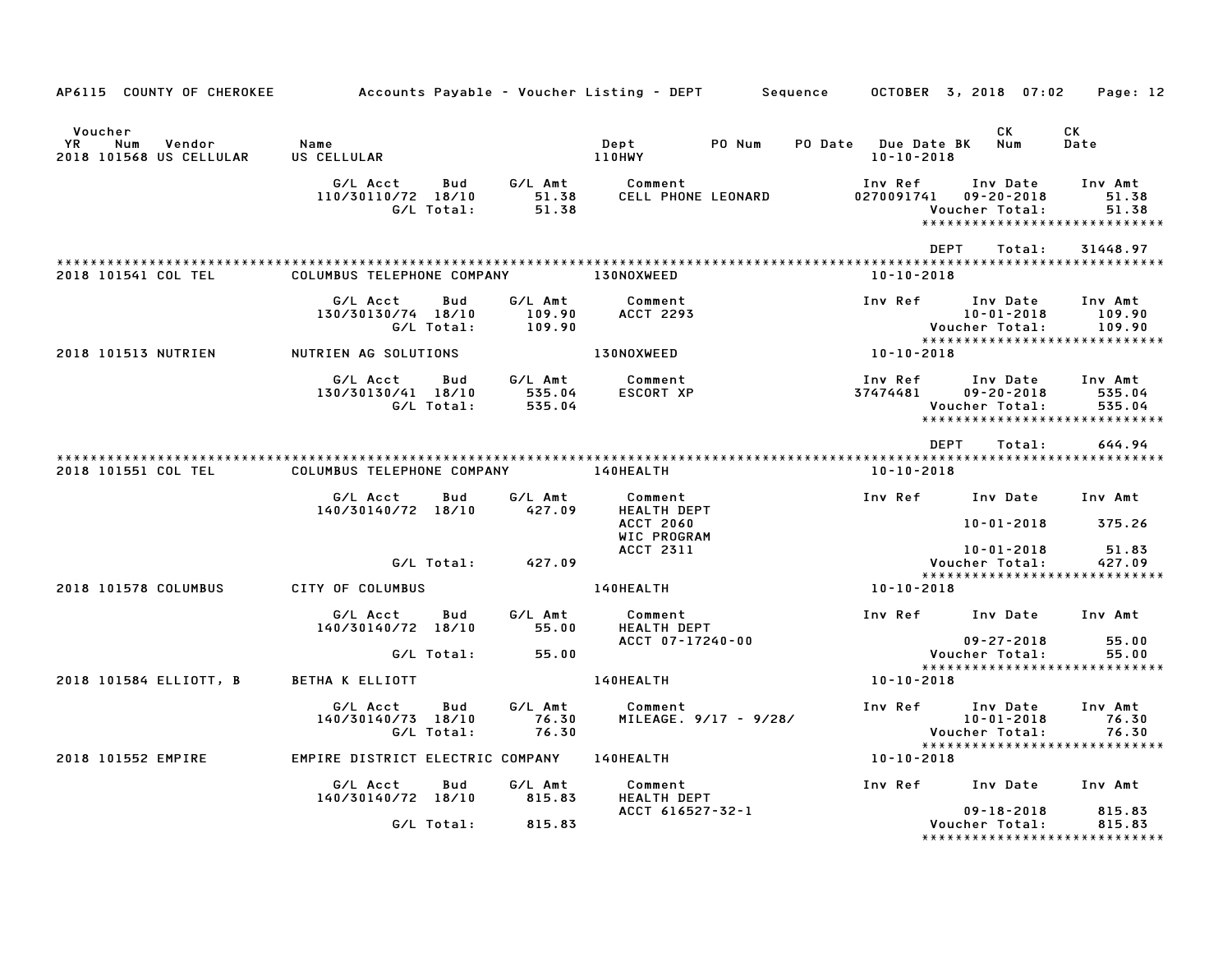| AP6115 COUNTY OF CHEROKEE                                 | Accounts Payable – Voucher Listing – DEPT         Sequence |                   |                             |                                                   |        |                                         | OCTOBER 3, 2018 07:02                          | Page: 12                                                     |
|-----------------------------------------------------------|------------------------------------------------------------|-------------------|-----------------------------|---------------------------------------------------|--------|-----------------------------------------|------------------------------------------------|--------------------------------------------------------------|
| Voucher<br>YR<br>Num<br>Vendor<br>2018 101568 US CELLULAR | Name<br>US CELLULAR                                        |                   |                             | Dept<br><b>110HWY</b>                             | PO Num | PO Date Due Date BK<br>$10 - 10 - 2018$ | CK<br>Num                                      | CK<br>Date                                                   |
|                                                           | G/L Acct<br>110/30110/72 18/10                             | Bud<br>G/L Total: | G/L Amt<br>51.38<br>51.38   | Comment<br>CELL PHONE LEONARD                     |        | Inv Ref<br>0270091741                   | Inv Date<br>$09 - 20 - 2018$<br>Voucher Total: | Inv Amt<br>51.38<br>51.38<br>******************************  |
|                                                           |                                                            |                   |                             |                                                   |        | <b>DEPT</b>                             | Total:                                         | 31448.97                                                     |
| 2018 101541 COL TEL                                       | COLUMBUS TELEPHONE COMPANY                                 |                   |                             | 130NOXWEED                                        |        | $10 - 10 - 2018$                        |                                                |                                                              |
|                                                           | G/L Acct<br>130/30130/74 18/10                             | Bud<br>G/L Total: | G/L Amt<br>109.90<br>109.90 | Comment<br>ACCT 2293                              |        | Inv Ref                                 | Inv Date<br>$10 - 01 - 2018$<br>Voucher Total: | Inv Amt<br>109.90<br>109.90                                  |
| 2018 101513 NUTRIEN                                       | NUTRIEN AG SOLUTIONS                                       |                   |                             | <b>130NOXWEED</b>                                 |        | 10-10-2018                              |                                                |                                                              |
|                                                           | G/L Acct<br>130/30130/41 18/10                             | Bud<br>G/L Total: | G/L Amt<br>535.04<br>535.04 | Comment<br>ESCORT XP                              |        | Inv Ref<br>37474481                     | Inv Date<br>$09 - 20 - 2018$<br>Voucher Total: | Inv Amt<br>535.04<br>535.04<br>***************************** |
|                                                           |                                                            |                   |                             |                                                   |        | DEPT                                    | Total:                                         | 644.94                                                       |
| 2018 101551 COL TEL                                       | COLUMBUS TELEPHONE COMPANY                                 |                   |                             | <b>140HEALTH</b>                                  |        | $10 - 10 - 2018$                        |                                                |                                                              |
|                                                           | G/L Acct<br>140/30140/72 18/10                             | Bud               | G/L Amt<br>427.09           | Comment<br><b>HEALTH DEPT</b><br><b>ACCT 2060</b> |        |                                         | Inv Ref      Inv Date<br>$10 - 01 - 2018$      | Inv Amt<br>375.26                                            |
|                                                           |                                                            | G/L Total:        | 427.09                      | WIC PROGRAM<br><b>ACCT 2311</b>                   |        |                                         | 10-01-2018<br>Voucher Total:                   | 51.83<br>427.09                                              |
| 2018 101578 COLUMBUS                                      | CITY OF COLUMBUS                                           |                   |                             | 140HEALTH                                         |        | 10-10-2018                              |                                                | *****************************                                |
|                                                           | G/L Acct<br>140/30140/72 18/10                             | Bud               | G/L Amt<br>55.00            | Comment<br><b>HEALTH DEPT</b>                     |        |                                         | Inv Ref Inv Date                               | Inv Amt                                                      |
|                                                           |                                                            | G/L Total:        | 55.00                       | ACCT 07-17240-00                                  |        |                                         | $09 - 27 - 2018$<br>Voucher Total:             | 55.00<br>55.00                                               |
| 2018 101584 ELLIOTT, B                                    | BETHA K ELLIOTT                                            |                   |                             | 140HEALTH                                         |        | 10-10-2018                              |                                                | *****************************                                |
|                                                           | G/L Acct<br>140/30140/73 18/10                             | Bud<br>G/L Total: | G/L Amt<br>76.30<br>76.30   | Comment<br>MILEAGE. 9/17 - 9/28/                  |        | Inv Ref                                 | Inv Date<br>$10 - 01 - 2018$<br>Voucher Total: | Inv Amt<br>76.30<br>76.30                                    |
| 2018 101552 EMPIRE                                        | EMPIRE DISTRICT ELECTRIC COMPANY                           |                   |                             | 140HEALTH                                         |        | 10-10-2018                              |                                                | *****************************                                |
|                                                           | G/L Acct<br>140/30140/72 18/10                             | Bud               | G/L Amt<br>815.83           | Comment<br><b>HEALTH DEPT</b>                     |        |                                         | Inv Ref Inv Date                               | Inv Amt                                                      |
|                                                           |                                                            | G/L Total:        | 815.83                      | ACCT 616527-32-1                                  |        |                                         | $09 - 18 - 2018$<br>Voucher Total:             | 815.83<br>815.83<br>*****************************            |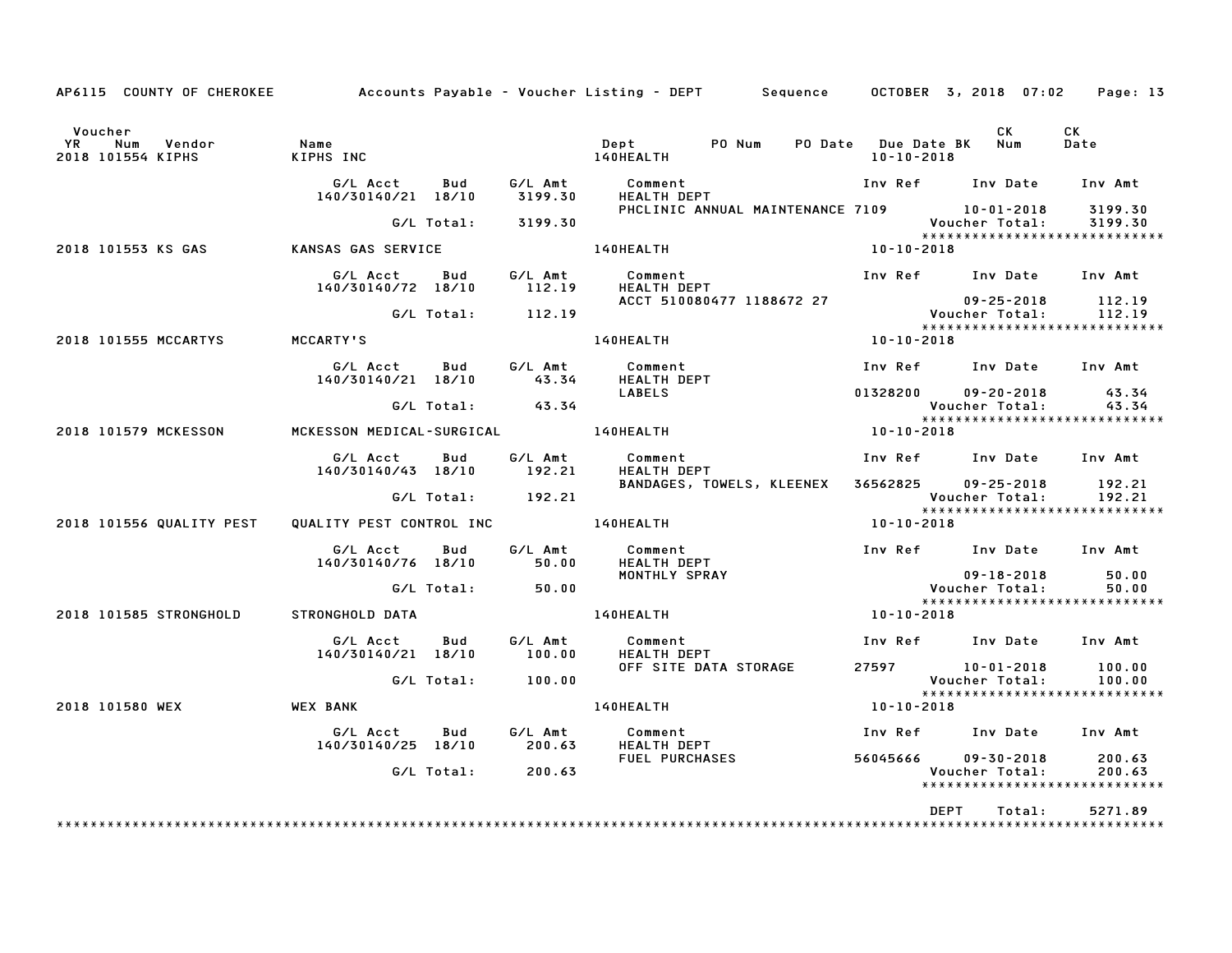| AP6115 COUNTY OF CHEROKEE Accounts Payable – Voucher Listing – DEPT Sequence OCTOBER 3, 2018 07:02 |                                           |            |                      |                                                                          |                                           |                  |                                                                                                        | Page: 13           |
|----------------------------------------------------------------------------------------------------|-------------------------------------------|------------|----------------------|--------------------------------------------------------------------------|-------------------------------------------|------------------|--------------------------------------------------------------------------------------------------------|--------------------|
| Voucher<br>Vendor<br><b>YR</b><br>Num<br>2018 101554 KIPHS                                         | Name<br>KIPHS INC                         |            |                      | Dept<br>140HEALTH                                                        | PO Num                                    | $10 - 10 - 2018$ | CK<br>PO Date Due Date BK Num                                                                          | CK<br>Date         |
|                                                                                                    | G/L Acct<br>140/30140/21 18/10            | Bud        | G/L Amt<br>3199.30   | Comment<br><b>HEALTH DEPT</b>                                            |                                           |                  | Inv Ref Inv Date                                                                                       | Inv Amt            |
|                                                                                                    |                                           | G/L Total: | 3199.30              |                                                                          |                                           |                  | PHCLINIC ANNUAL MAINTENANCE 7109 10-01-2018<br><b>Voucher Total:</b><br>****************************** | 3199.30<br>3199.30 |
| 2018 101553 KS GAS                                                                                 | KANSAS GAS SERVICE                        |            |                      | 140HEALTH                                                                |                                           | 10-10-2018       |                                                                                                        |                    |
|                                                                                                    | G/L Acct<br>140/30140/72 18/10            | Bud        | 112.19               | G/L Amt Comment<br>HEALTH DEPT                                           |                                           |                  | Inv Ref Inv Date Inv Amt                                                                               |                    |
|                                                                                                    |                                           | G/L Total: | 112.19               |                                                                          | ACCT 510080477 1188672 27                 |                  | 09-25-2018<br>Voucher Total:<br>*****************************                                          | 112.19<br>112.19   |
| 2018 101555 MCCARTYS                                                                               | MCCARTY'S                                 |            |                      | <b>140HEALTH</b>                                                         |                                           | $10 - 10 - 2018$ |                                                                                                        |                    |
|                                                                                                    | G/L Acct<br>140/30140/21 18/10            | Bud        | G/L Amt<br>43.34     | Comment<br>HEALTH DEPT                                                   |                                           |                  | Inv Ref Inv Date Inv Amt                                                                               |                    |
|                                                                                                    |                                           |            | $G/L$ Total: $43.34$ | <b>LABELS</b>                                                            |                                           |                  | 01328200 09-20-2018<br>Voucher Total:                                                                  | 43.34<br>43.34     |
| 2018 101579 MCKESSON                                                                               | MCKESSON MEDICAL-SURGICAL 140HEALTH       |            |                      |                                                                          |                                           | 10-10-2018       |                                                                                                        |                    |
|                                                                                                    | G/L Acct<br>140/30140/43 18/10            | Bud        | G/L Amt<br>192.21    | Comment<br><b>HEALTH DEPT</b>                                            |                                           |                  | Inv Ref Inv Date Inv Amt                                                                               |                    |
|                                                                                                    |                                           |            | G/L Total: 192.21    |                                                                          | BANDAGES, TOWELS, KLEENEX                 |                  | 36562825 09-25-2018<br>Voucher Total:<br>*****************************                                 | 192.21<br>192.21   |
| 2018 101556 QUALITY PEST                                                                           | QUALITY PEST CONTROL INC <b>140HEALTH</b> |            |                      |                                                                          |                                           | 10-10-2018       |                                                                                                        |                    |
|                                                                                                    | G/L Acct Bud<br>140/30140/76 18/10        |            | G/L Amt<br>50.00     | Comment<br><b>HEALTH DEPT</b>                                            |                                           |                  | Inv Ref Inv Date Inv Amt                                                                               |                    |
|                                                                                                    |                                           |            | G/L Total: 50.00     | MONTHLY SPRAY                                                            |                                           |                  | $09 - 18 - 2018$<br>Voucher Total:<br>*****************************                                    | 50.00<br>50.00     |
| 2018 101585 STRONGHOLD                                                                             | STRONGHOLD DATA                           |            |                      | 140HEALTH                                                                |                                           | $10 - 10 - 2018$ |                                                                                                        |                    |
|                                                                                                    | G/L Acct<br>140/30140/21 18/10            | Bud        | G/L Amt<br>100.00    | Comment<br><b>HEALTH DEPT</b>                                            |                                           |                  | Inv Ref Inv Date Inv Amt                                                                               |                    |
|                                                                                                    |                                           | G/L Total: | 100.00               |                                                                          | OFF SITE DATA STORAGE                     |                  | 27597 10-01-2018<br>Voucher Total:<br>*****************************                                    | 100.00<br>100.00   |
| 2018 101580 WEX                                                                                    | <b>WEX BANK</b>                           |            |                      | 140HEALTH                                                                |                                           | 10-10-2018       |                                                                                                        |                    |
|                                                                                                    | G/L Acct<br>140/30140/25 18/10            | Bud        |                      | G/L Amt         Comment<br>200.63       HEALTH DEF<br><b>HEALTH DEPT</b> |                                           |                  | Inv Ref Inv Date Inv Amt                                                                               |                    |
|                                                                                                    |                                           |            | G/L Total: 200.63    |                                                                          | FUEL PURCHASES <b>And Allen Contracts</b> |                  | 56045666 09-30-2018<br>Voucher Total:<br>******************************                                | 200.63<br>200.63   |
|                                                                                                    |                                           |            |                      |                                                                          |                                           |                  | DEPT<br>Total:                                                                                         | 5271.89            |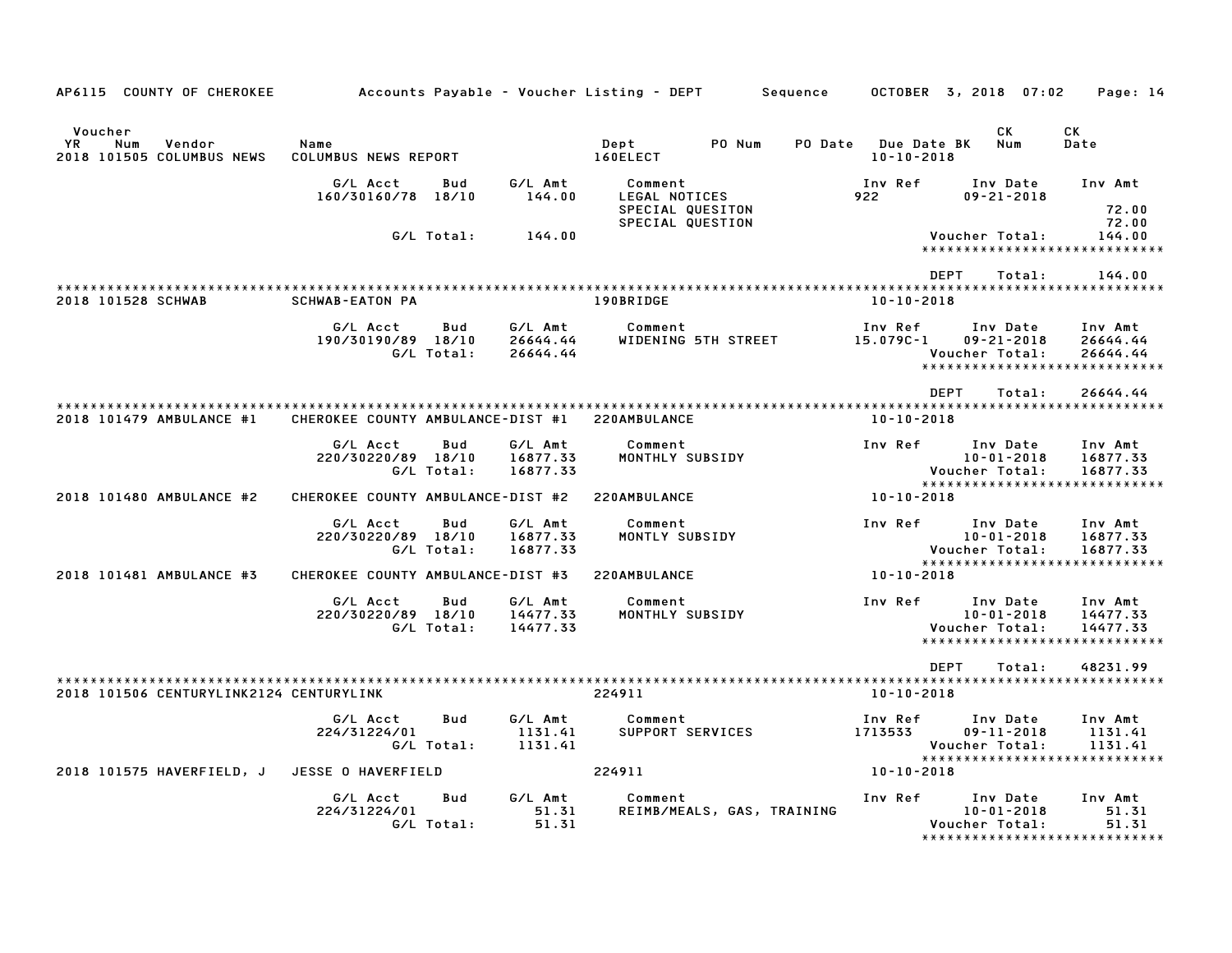| AP6115 COUNTY OF CHEROKEE                                    |                                   |                   |                                 | Accounts Payable – Voucher Listing – DEPT                        |        | Sequence |                                        |             | OCTOBER 3, 2018 07:02                          | Page: 14                                                          |  |
|--------------------------------------------------------------|-----------------------------------|-------------------|---------------------------------|------------------------------------------------------------------|--------|----------|----------------------------------------|-------------|------------------------------------------------|-------------------------------------------------------------------|--|
| Voucher<br>YR.<br>Num<br>Vendor<br>2018 101505 COLUMBUS NEWS | Name<br>COLUMBUS NEWS REPORT      |                   |                                 | Dept<br>160ELECT                                                 | PO Num | PO Date  | <b>Due Date BK</b><br>$10 - 10 - 2018$ |             | CK.<br>Num                                     | СK<br>Date                                                        |  |
|                                                              | G/L Acct<br>160/30160/78 18/10    | Bud               | G/L Amt<br>144.00               | Comment<br>LEGAL NOTICES<br>SPECIAL QUESITON<br>SPECIAL QUESTION |        |          | Inv Ref<br>922                         |             | Inv Date<br>$09 - 21 - 2018$                   | Inv Amt<br>72.00<br>72.00                                         |  |
|                                                              |                                   | G/L Total:        | 144.00                          |                                                                  |        |          |                                        |             | Voucher Total:                                 | 144.00<br>*****************************                           |  |
| 2018 101528 SCHWAB                                           | <b>SCHWAB-EATON PA</b>            |                   |                                 | 190BRIDGE                                                        |        |          | $10 - 10 - 2018$                       | <b>DEPT</b> | Total:                                         | 144.00                                                            |  |
|                                                              | G/L Acct<br>190/30190/89 18/10    | Bud<br>G/L Total: | G/L Amt<br>26644.44<br>26644.44 | Comment<br>WIDENING 5TH STREET                                   |        |          | Inv Ref<br>$15.079C - 1$               |             | Inv Date<br>$09 - 21 - 2018$<br>Voucher Total: | Inv Amt<br>26644.44<br>26644.44<br>*****************************  |  |
| 2018 101479 AMBULANCE #1                                     | CHEROKEE COUNTY AMBULANCE-DIST #1 |                   |                                 | 220AMBULANCE                                                     |        |          | $10 - 10 - 2018$                       | <b>DEPT</b> | Total:                                         | 26644.44                                                          |  |
|                                                              | G/L Acct<br>220/30220/89 18/10    | Bud<br>G/L Total: | G/L Amt<br>16877.33<br>16877.33 | Comment<br>MONTHLY SUBSIDY                                       |        |          | Inv Ref                                |             | Inv Date<br>$10 - 01 - 2018$<br>Voucher Total: | Inv Amt<br>16877.33<br>16877.33<br>****************************** |  |
| 2018 101480 AMBULANCE #2                                     | CHEROKEE COUNTY AMBULANCE-DIST #2 |                   |                                 | 220AMBULANCE                                                     |        |          | 10-10-2018                             |             |                                                |                                                                   |  |
|                                                              | G/L Acct<br>220/30220/89 18/10    | Bud<br>G/L Total: | G/L Amt<br>16877.33<br>16877.33 | Comment<br>MONTLY SUBSIDY                                        |        |          | Inv Ref                                |             | Inv Date<br>$10 - 01 - 2018$<br>Voucher Total: | Inv Amt<br>16877.33<br>16877.33<br>****************************** |  |
| 2018 101481 AMBULANCE #3                                     | CHEROKEE COUNTY AMBULANCE-DIST #3 |                   |                                 | 220AMBULANCE                                                     |        |          | 10-10-2018                             |             |                                                |                                                                   |  |
|                                                              | G/L Acct<br>220/30220/89 18/10    | Bud<br>G/L Total: | G/L Amt<br>14477.33<br>14477.33 | Comment<br>MONTHLY SUBSIDY                                       |        |          | Inv Ref                                |             | Inv Date<br>$10 - 01 - 2018$<br>Voucher Total: | Inv Amt<br>14477.33<br>14477.33<br>*****************************  |  |
| 2018 101506 CENTURYLINK2124 CENTURYLINK                      |                                   |                   |                                 | 224911                                                           |        |          | $10 - 10 - 2018$                       | <b>DEPT</b> | Total:                                         | 48231.99                                                          |  |
|                                                              | G/L Acct<br>224/31224/01          | Bud<br>G/L Total: | G/L Amt<br>1131.41<br>1131.41   | Comment<br>SUPPORT SERVICES                                      |        |          | Inv Ref<br>1713533                     |             | Inv Date<br>$09 - 11 - 2018$<br>Voucher Total: | Inv Amt<br>1131.41<br>1131.41                                     |  |
| 2018 101575 HAVERFIELD, J                                    | JESSE O HAVERFIELD                |                   |                                 | 224911                                                           |        |          | 10-10-2018                             |             |                                                | ******************************                                    |  |
|                                                              | G/L Acct<br>224/31224/01          | Bud<br>G/L Total: | G/L Amt<br>51.31<br>51.31       | Comment<br>REIMB/MEALS, GAS, TRAINING                            |        |          | Inv Ref                                |             | Inv Date<br>$10 - 01 - 2018$<br>Voucher Total: | Inv Amt<br>51.31<br>51.31<br>******************************       |  |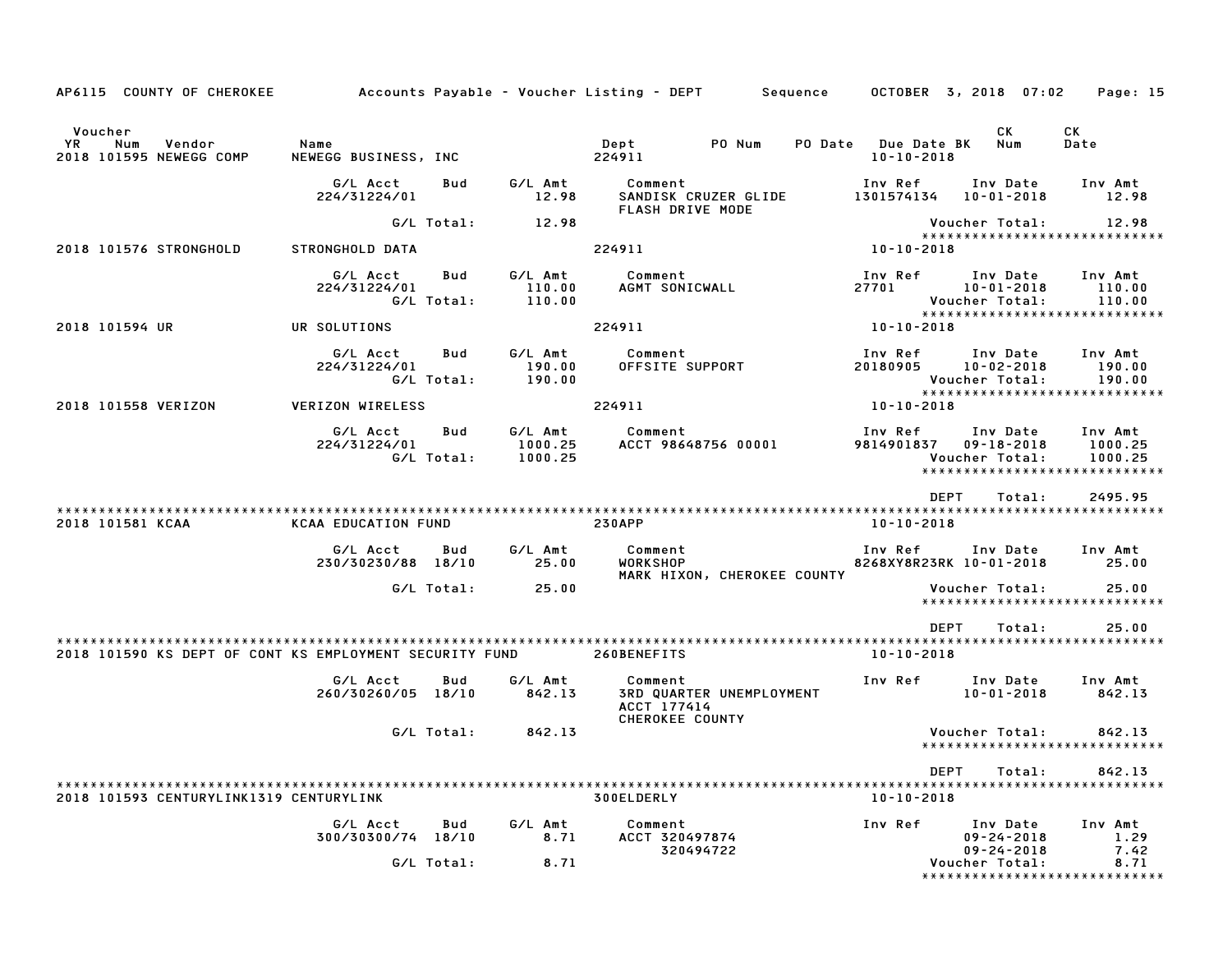| AP6115 COUNTY OF CHEROKEE                                 |                                |                   |                               | Accounts Payable – Voucher Listing – DEPT       Sequence     OCTOBER 3, 2018 07:02 |                       |                                                                                    | Page: 15                      |
|-----------------------------------------------------------|--------------------------------|-------------------|-------------------------------|------------------------------------------------------------------------------------|-----------------------|------------------------------------------------------------------------------------|-------------------------------|
| Voucher<br>YR<br>Num<br>Vendor<br>2018 101595 NEWEGG COMP | Name<br>NEWEGG BUSINESS, INC   |                   |                               | Dept<br>PO Num<br>224911                                                           | PO Date Due Date BK   | CK.<br>Num<br>$10 - 10 - 2018$                                                     | CK<br>Date                    |
|                                                           | G/L Acct<br>224/31224/01       | Bud               | G/L Amt<br>12.98              | Comment<br>SANDISK CRUZER GLIDE<br>FLASH DRIVE MODE                                | Inv Ref               | Inv Date<br>1301574134  10-01-2018                                                 | Inv Amt<br>12.98              |
|                                                           |                                | G/L Total:        | 12.98                         |                                                                                    |                       | Voucher Total:                                                                     | 12.98                         |
| 2018 101576 STRONGHOLD                                    | STRONGHOLD DATA                |                   |                               | 224911                                                                             | 10-10-2018            | *****************************                                                      |                               |
|                                                           | G/L Acct<br>224/31224/01       | Bud<br>G/L Total: | G/L Amt<br>110.00<br>110.00   | Comment<br>AGMT SONICWALL <b>AGMT</b>                                              | Inv Ref<br>27701      | Inv Date<br>$10 - 01 - 2018$<br>Voucher Total:                                     | Inv Amt<br>110.00<br>110.00   |
| 2018 101594 UR                                            | UR SOLUTIONS                   |                   |                               | 224911                                                                             | 10-10-2018            | *****************************                                                      |                               |
|                                                           | G/L Acct<br>224/31224/01       | Bud<br>G/L Total: | G/L Amt<br>190.00<br>190.00   | Comment<br>OFFSITE SUPPORT                                                         | Inv Ref               | Inv Date<br>20180905 10-02-2018<br>Voucher Total:<br>***************************** | Inv Amt<br>190.00<br>190.00   |
| 2018 101558 VERIZON                                       | VERIZON WIRELESS               |                   |                               | 224911                                                                             | 10-10-2018            |                                                                                    |                               |
|                                                           | G/L Acct<br>224/31224/01       | Bud<br>G/L Total: | G/L Amt<br>1000.25<br>1000.25 | Comment<br>ACCT 98648756 00001                                                     | Inv Ref<br>9814901837 | Inv Date<br>$09 - 18 - 2018$<br>Voucher Total:<br>******************************   | Inv Amt<br>1000.25<br>1000.25 |
|                                                           |                                |                   |                               |                                                                                    |                       | <b>DEPT</b><br>Total:                                                              | 2495.95                       |
| 2018 101581 KCAA                                          | <b>KCAA EDUCATION FUND</b>     |                   |                               | <b>230APP</b>                                                                      |                       | $10 - 10 - 2018$                                                                   |                               |
|                                                           | G/L Acct<br>230/30230/88 18/10 | Bud               | G/L Amt<br>25.00              | Comment<br><b>WORKSHOP</b><br>MARK HIXON, CHEROKEE COUNTY                          | Inv Ref               | Inv Date<br>8268XY8R23RK 10-01-2018                                                | Inv Amt<br>25.00              |
|                                                           |                                | G/L Total:        | 25.00                         |                                                                                    |                       | Voucher Total:<br>*****************************                                    | 25.00                         |
| 2018 101590 KS DEPT OF CONT KS EMPLOYMENT SECURITY FUND   |                                |                   |                               | 260BENEFITS                                                                        |                       | <b>DEPT</b><br>Total:<br>10-10-2018                                                | 25.00                         |
|                                                           | G/L Acct<br>260/30260/05 18/10 | Bud               | G/L Amt<br>842.13             | Comment<br>3RD QUARTER UNEMPLOYMENT<br>ACCT 177414<br>CHEROKEE COUNTY              | Inv Ref               | Inv Date<br>$10 - 01 - 2018$                                                       | Inv Amt<br>842.13             |
|                                                           |                                | G/L Total:        | 842.13                        |                                                                                    |                       | Voucher Total:<br>*****************************                                    | 842.13                        |
|                                                           |                                |                   |                               |                                                                                    |                       |                                                                                    |                               |
|                                                           |                                |                   |                               |                                                                                    |                       | DEPT<br>Total:                                                                     | 842.13                        |
| 2018 101593 CENTURYLINK1319 CENTURYLINK                   |                                |                   |                               | 300ELDERLY                                                                         |                       | $10 - 10 - 2018$                                                                   |                               |
|                                                           | G/L Acct<br>300/30300/74 18/10 | Bud               | G/L Amt<br>8.71               | Comment<br>ACCT 320497874<br>320494722                                             | Inv Ref               | Inv Date<br>$09 - 24 - 2018$<br>$09 - 24 - 2018$                                   | Inv Amt<br>1.29<br>7.42       |
|                                                           |                                | G/L Total:        | 8.71                          |                                                                                    |                       | Voucher Total:<br>*****************************                                    | 8.71                          |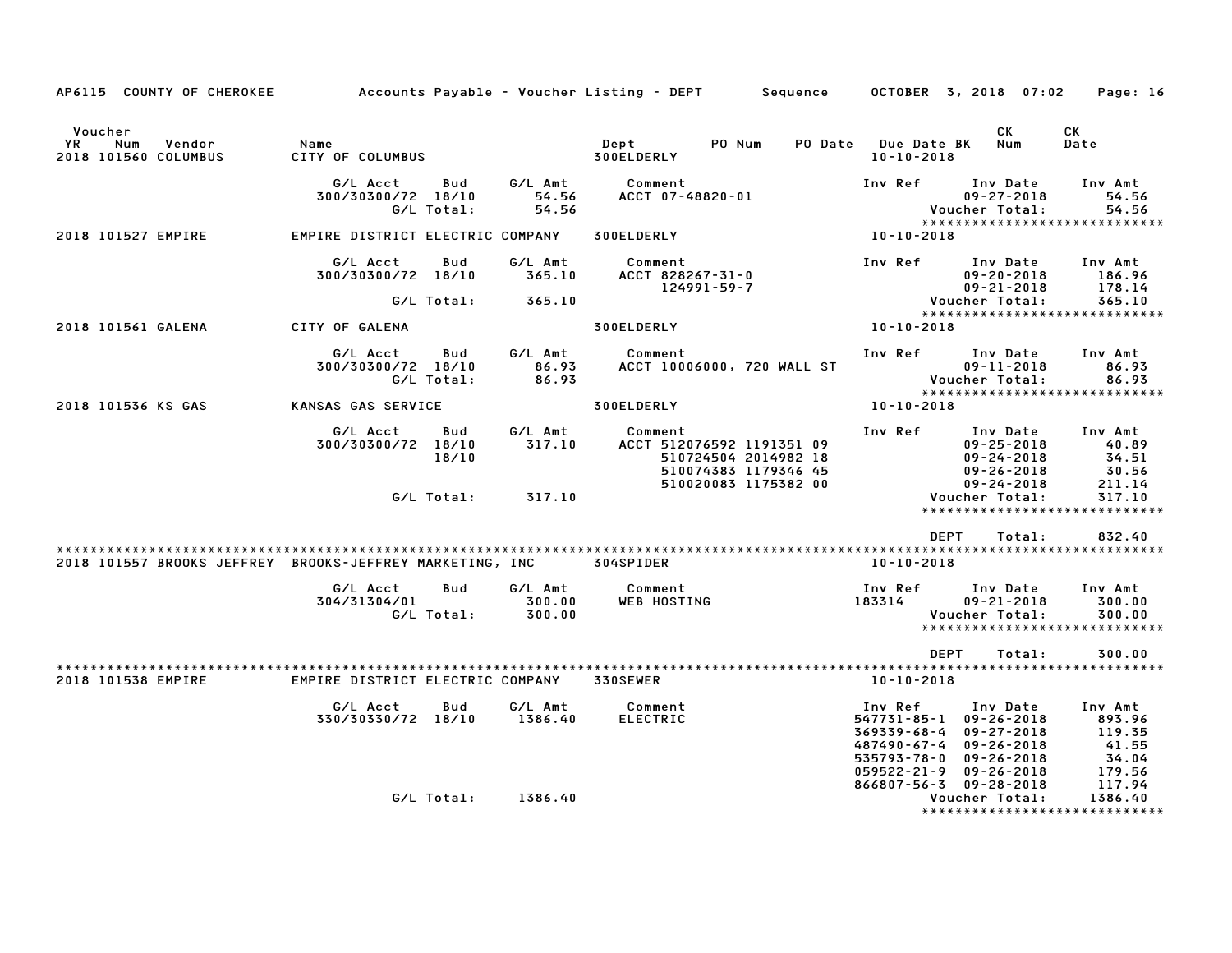| AP6115 COUNTY OF CHEROKEE                                          |                                  |                   |                             | Accounts Payable – Voucher Listing – DEPT         Sequence                                                   |                                                      | OCTOBER 3, 2018 07:02                                                                                                                | Page: 16                                                |
|--------------------------------------------------------------------|----------------------------------|-------------------|-----------------------------|--------------------------------------------------------------------------------------------------------------|------------------------------------------------------|--------------------------------------------------------------------------------------------------------------------------------------|---------------------------------------------------------|
| Voucher<br>Vendor<br>YR<br>Num<br>2018 101560 COLUMBUS             | Name<br>CITY OF COLUMBUS         |                   |                             | Dept<br>PO Num<br>300ELDERLY                                                                                 | PO Date Due Date BK<br>$10 - 10 - 2018$              | СK<br>Num                                                                                                                            | CK<br>Date                                              |
|                                                                    | G/L Acct<br>300/30300/72 18/10   | Bud<br>G/L Total: | G/L Amt<br>54.56<br>54.56   | Comment<br>ACCT 07-48820-01                                                                                  | Inv Ref                                              | Inv Date<br>$09 - 27 - 2018$<br>Voucher Total:                                                                                       | Inv Amt<br>54.56<br>54.56                               |
| 2018 101527 EMPIRE                                                 | EMPIRE DISTRICT ELECTRIC COMPANY |                   |                             | 300ELDERLY                                                                                                   | 10-10-2018                                           | *****************************                                                                                                        |                                                         |
|                                                                    | G/L Acct<br>300/30300/72 18/10   | Bud               | G/L Amt<br>365.10           | Comment<br>ACCT 828267-31-0<br>124991-59-7                                                                   | Inv Ref                                              | Inv Date<br>$09 - 20 - 2018$<br>$09 - 21 - 2018$                                                                                     | Inv Amt<br>186.96<br>178.14                             |
|                                                                    |                                  | G/L Total:        | 365.10                      |                                                                                                              |                                                      | Voucher Total:<br>*****************************                                                                                      | 365.10                                                  |
| 2018 101561 GALENA                                                 | CITY OF GALENA                   |                   |                             | 300ELDERLY                                                                                                   | 10-10-2018                                           |                                                                                                                                      |                                                         |
|                                                                    | G/L Acct<br>300/30300/72 18/10   | Bud<br>G/L Total: | G/L Amt<br>86.93<br>86.93   | Comment<br>ACCT 10006000, 720 WALL ST                                                                        | Inv Ref                                              | Inv Date<br>$09 - 11 - 2018$<br>Voucher Total:                                                                                       | Inv Amt<br>86.93<br>86.93                               |
| 2018 101536 KS GAS                                                 | KANSAS GAS SERVICE               |                   |                             | 300ELDERLY                                                                                                   | 10-10-2018                                           |                                                                                                                                      |                                                         |
|                                                                    | G/L Acct<br>300/30300/72 18/10   | Bud<br>18/10      | G/L Amt<br>317.10           | Comment<br>ACCT 512076592 1191351 09<br>510724504 2014982 18<br>510074383 1179346 45<br>510020083 1175382 00 | Inv Ref                                              | Inv Date<br>$09 - 25 - 2018$<br>$09 - 24 - 2018$<br>$09 - 26 - 2018$<br>$09 - 24 - 2018$                                             | Inv Amt<br>40.89<br>34.51<br>30.56<br>211.14            |
|                                                                    |                                  | G/L Total:        | 317.10                      |                                                                                                              |                                                      | Voucher Total:<br>*****************************                                                                                      | 317.10                                                  |
| 2018 101557 BROOKS JEFFREY BROOKS-JEFFREY MARKETING, INC 304SPIDER |                                  |                   |                             |                                                                                                              | 10-10-2018                                           | <b>DEPT</b><br>Total:                                                                                                                | 832.40                                                  |
|                                                                    | G/L Acct<br>304/31304/01         | Bud<br>G/L Total: | G/L Amt<br>300.00<br>300.00 | Comment<br><b>WEB HOSTING</b>                                                                                | Inv Ref<br>183314                                    | Inv Date<br>$09 - 21 - 2018$<br>Voucher Total:<br>*****************************                                                      | Inv Amt<br>300.00<br>300.00                             |
|                                                                    |                                  |                   |                             |                                                                                                              |                                                      | <b>DEPT</b><br>Total:                                                                                                                | 300.00                                                  |
| 2018 101538 EMPIRE                                                 | EMPIRE DISTRICT ELECTRIC COMPANY |                   |                             | 330SEWER                                                                                                     | 10-10-2018                                           |                                                                                                                                      |                                                         |
|                                                                    | G/L Acct<br>330/30330/72 18/10   | Bud               | G/L Amt<br>1386.40          | Comment<br><b>ELECTRIC</b>                                                                                   | Inv Ref<br>369339-68-4<br>487490-67-4<br>535793-78-0 | Inv Date<br>547731-85-1 09-26-2018<br>$09 - 27 - 2018$<br>$09 - 26 - 2018$<br>$09 - 26 - 2018$<br>$059522 - 21 - 9$ $09 - 26 - 2018$ | Inv Amt<br>893.96<br>119.35<br>41.55<br>34.04<br>179.56 |
|                                                                    |                                  | G/L Total:        | 1386.40                     |                                                                                                              |                                                      | 866807-56-3 09-28-2018<br>Voucher Total:                                                                                             | 117.94<br>1386.40                                       |